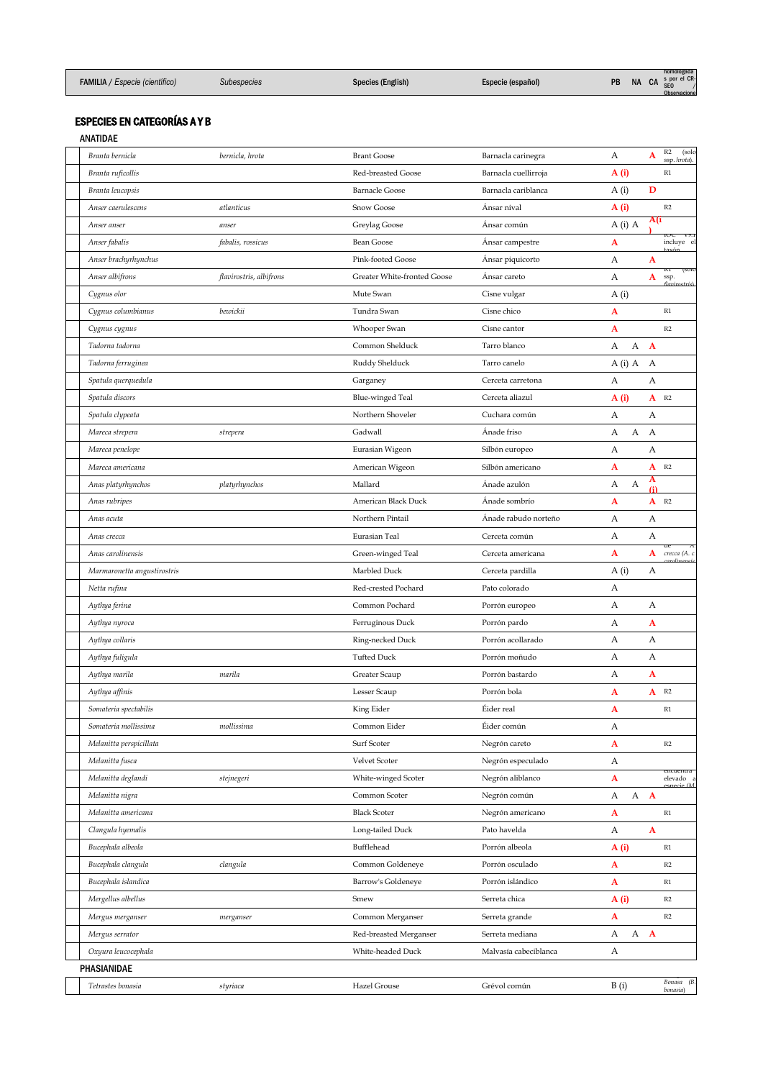|                                       |             |                   |                   |           |           |           | homologada                 |
|---------------------------------------|-------------|-------------------|-------------------|-----------|-----------|-----------|----------------------------|
| <b>FAMILIA</b> / Especie (científico) | Subespecies | Species (English) | Especie (español) | <b>PB</b> | <b>NA</b> | <b>CA</b> | s por el CR-<br><b>SEO</b> |

**Observacione** 

## ESPECIES EN CATEGORÍAS A Y B

ANATIDAE

| Branta bernicla             | bernicla, hrota         | <b>Brant Goose</b>          | Barnacla carinegra    | А    |            | A            | R2<br>(solo<br>ssp. hrota). |
|-----------------------------|-------------------------|-----------------------------|-----------------------|------|------------|--------------|-----------------------------|
| Branta ruficollis           |                         | Red-breasted Goose          | Barnacla cuellirroja  | A(i) |            |              | R1                          |
| Branta leucopsis            |                         | <b>Barnacle Goose</b>       | Barnacla cariblanca   | A(i) |            | D            |                             |
| Anser caerulescens          | atlanticus              | Snow Goose                  | Ánsar nival           | A(i) |            |              | R2                          |
| Anser anser                 | anser                   | Greylag Goose               | Ánsar común           |      | $A(i)$ $A$ | A(i          | IUC.<br>VY.1                |
| Anser fabalis               | fabalis, rossicus       | <b>Bean Goose</b>           | Ansar campestre       | A    |            |              | incluye el                  |
| Anser brachyrhynchus        |                         | Pink-footed Goose           | Ansar piquicorto      | А    |            | A            | (5010)                      |
| Anser albifrons             | flavirostris, albifrons | Greater White-fronted Goose | Ansar careto          | А    |            | A            | KІ<br>ssp.                  |
| Cygnus olor                 |                         | Mute Swan                   | Cisne vulgar          | A(i) |            |              |                             |
| Cygnus columbianus          | bewickii                | Tundra Swan                 | Cisne chico           | A    |            |              | R1                          |
| Cygnus cygnus               |                         | Whooper Swan                | Cisne cantor          | A    |            |              | R2                          |
| Tadorna tadorna             |                         | Common Shelduck             | Tarro blanco          | А    | А          | $\mathbf{A}$ |                             |
| Tadorna ferruginea          |                         | Ruddy Shelduck              | Tarro canelo          |      | $A(i)$ A   | A            |                             |
| Spatula querquedula         |                         | Garganey                    | Cerceta carretona     | А    |            | А            |                             |
| Spatula discors             |                         | <b>Blue-winged Teal</b>     | Cerceta aliazul       | A(i) |            | A            | R2                          |
| Spatula clypeata            |                         | Northern Shoveler           | Cuchara común         | А    |            | А            |                             |
| Mareca strepera             | strepera                | Gadwall                     | Ánade friso           | А    | A          | $\mathbf{A}$ |                             |
| Mareca penelope             |                         | Eurasian Wigeon             | Silbón europeo        | А    |            | А            |                             |
| Mareca americana            |                         | American Wigeon             | Silbón americano      | A    |            |              | $A$ R <sub>2</sub>          |
| Anas platyrhynchos          | platyrhynchos           | Mallard                     | Ánade azulón          | А    | А          | A<br>(i)     |                             |
| Anas rubripes               |                         | American Black Duck         | Anade sombrío         | A    |            |              | $A$ R <sub>2</sub>          |
| Anas acuta                  |                         | Northern Pintail            | Anade rabudo norteño  | А    |            | А            |                             |
| Anas crecca                 |                         | Eurasian Teal               | Cerceta común         | А    |            | А            |                             |
| Anas carolinensis           |                         | Green-winged Teal           | Cerceta americana     | A    |            | A            | crecca (A. c.               |
| Marmaronetta angustirostris |                         | Marbled Duck                | Cerceta pardilla      | A(i) |            | А            |                             |
| Netta rufina                |                         | Red-crested Pochard         | Pato colorado         | А    |            |              |                             |
| Aythya ferina               |                         | Common Pochard              | Porrón europeo        | А    |            | А            |                             |
| Aythya nyroca               |                         | Ferruginous Duck            | Porrón pardo          | А    |            | A            |                             |
| Aythya collaris             |                         | Ring-necked Duck            | Porrón acollarado     | А    |            | А            |                             |
| Aythya fuligula             |                         | <b>Tufted Duck</b>          | Porrón moñudo         | А    |            | А            |                             |
| Aythya marila               | marila                  | Greater Scaup               | Porrón bastardo       | А    |            | A            |                             |
| Aythya affinis              |                         | Lesser Scaup                | Porrón bola           | A    |            |              | $A$ R <sub>2</sub>          |
| Somateria spectabilis       |                         | King Eider                  | Éider real            | A    |            |              | R1                          |
| Somateria mollissima        | mollissima              | Common Eider                | Éider común           | А    |            |              |                             |
| Melanitta perspicillata     |                         | Surf Scoter                 | Negrón careto         | A    |            |              | R2                          |
| Melanitta fusca             |                         | Velvet Scoter               | Negrón especulado     | А    |            |              |                             |
| Melanitta deglandi          | stejnegeri              | White-winged Scoter         | Negrón aliblanco      | A    |            |              | encuentra<br>elevado a      |
| Melanitta nigra             |                         | Common Scoter               | Negrón común          | А    |            | A A          |                             |
| Melanitta americana         |                         | <b>Black Scoter</b>         | Negrón americano      | A    |            |              | $\mathbb{R}1$               |
| Clangula hyemalis           |                         | Long-tailed Duck            | Pato havelda          | А    |            | $\mathbf A$  |                             |
| Bucephala albeola           |                         | Bufflehead                  | Porrón albeola        | A(i) |            |              | $\mathbb{R}1$               |
| Bucephala clangula          | clangula                | Common Goldeneye            | Porrón osculado       | A    |            |              | R2                          |
| Bucephala islandica         |                         | Barrow's Goldeneye          | Porrón islándico      | A    |            |              | R1                          |
| Mergellus albellus          |                         | Smew                        | Serreta chica         | A(i) |            |              | R2                          |
| Mergus merganser            | merganser               | Common Merganser            | Serreta grande        | A    |            |              | R2                          |
| Mergus serrator             |                         | Red-breasted Merganser      | Serreta mediana       | А    |            | A A          |                             |
| Oxyura leucocephala         |                         | White-headed Duck           | Malvasía cabeciblanca | А    |            |              |                             |
| PHASIANIDAE                 |                         |                             |                       |      |            |              |                             |
| Tetrastes bonasia           | styriaca                | Hazel Grouse                | Grévol común          | B(i) |            |              | Bonasa (B.                  |
|                             |                         |                             |                       |      |            |              | bonasia)                    |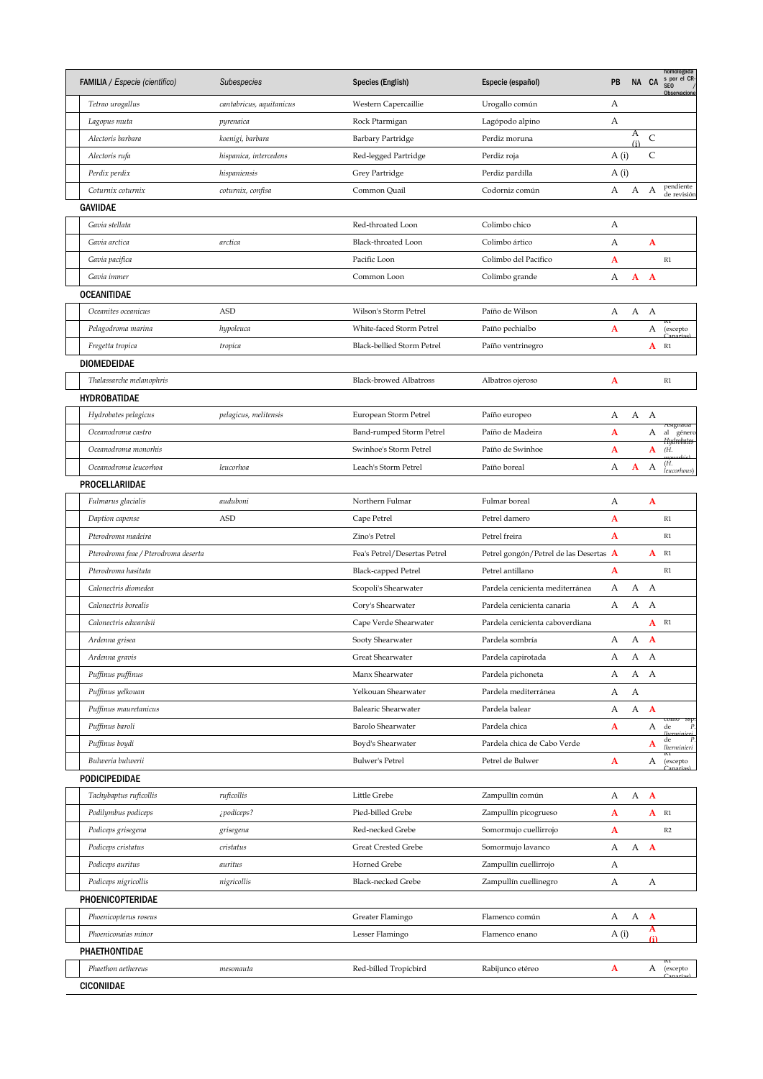| FAMILIA / Especie (científico)       | Subespecies              | Species (English)             | Especie (español)                      | PB   | NA CA    |                    | homologada<br>s por el CR-<br>SEO /<br>Observacione |
|--------------------------------------|--------------------------|-------------------------------|----------------------------------------|------|----------|--------------------|-----------------------------------------------------|
| Tetrao urogallus                     | cantabricus, aquitanicus | Western Capercaillie          | Urogallo común                         | А    |          |                    |                                                     |
| Lagopus muta                         | pyrenaica                | Rock Ptarmigan                | Lagópodo alpino                        | А    |          |                    |                                                     |
| Alectoris barbara                    | koenigi, barbara         | Barbary Partridge             | Perdiz moruna                          |      | А<br>(i) | C                  |                                                     |
| Alectoris rufa                       | hispanica, intercedens   | Red-legged Partridge          | Perdiz roja                            | A(i) |          | C                  |                                                     |
| Perdix perdix                        | hispaniensis             | Grey Partridge                | Perdiz pardilla                        | A(i) |          |                    |                                                     |
| Coturnix coturnix                    | coturnix, confisa        | Common Quail                  | Codorniz común                         | А    | A        | А                  | pendiente<br>de revisión                            |
| GAVIIDAE                             |                          |                               |                                        |      |          |                    |                                                     |
| Gavia stellata                       |                          | Red-throated Loon             | Colimbo chico                          | А    |          |                    |                                                     |
| Gavia arctica                        | arctica                  | Black-throated Loon           | Colimbo ártico                         | А    |          | A                  |                                                     |
| Gavia pacifica                       |                          | Pacific Loon                  | Colimbo del Pacífico                   | A    |          |                    | $\mathbb{R}1$                                       |
| Gavia immer                          |                          | Common Loon                   | Colimbo grande                         | А    | A        | $\mathbf{A}$       |                                                     |
| OCEANITIDAE                          |                          |                               |                                        |      |          |                    |                                                     |
| Oceanites oceanicus                  | <b>ASD</b>               | Wilson's Storm Petrel         | Paíño de Wilson                        | А    | A        | A                  |                                                     |
| Pelagodroma marina                   | hypoleuca                | White-faced Storm Petrel      | Paíño pechialbo                        | A    |          | А                  | (excepto                                            |
| Fregetta tropica                     | tropica                  | Black-bellied Storm Petrel    | Paíño ventrinegro                      |      |          | $A$ R <sub>1</sub> |                                                     |
| DIOMEDEIDAE                          |                          |                               |                                        |      |          |                    |                                                     |
| Thalassarche melanophris             |                          | <b>Black-browed Albatross</b> | Albatros ojeroso                       | A    |          |                    | R1                                                  |
| HYDROBATIDAE                         |                          |                               |                                        |      |          |                    |                                                     |
| Hydrobates pelagicus                 | pelagicus, melitensis    | European Storm Petrel         | Paíño europeo                          | А    | A A      |                    |                                                     |
| Oceanodroma castro                   |                          | Band-rumped Storm Petrel      | Paíño de Madeira                       | A    |          | А                  | Asignada<br>al género                               |
| Oceanodroma monorhis                 |                          | Swinhoe's Storm Petrel        | Paíño de Swinhoe                       | A    |          | A                  | <del>Hydrobates</del><br>(H.                        |
| Oceanodroma leucorhoa                | leucorhoa                | Leach's Storm Petrel          | Paíño boreal                           | А    | A        | А                  | (Ĥ.<br>leucorhous)                                  |
| PROCELLARIIDAE                       |                          |                               |                                        |      |          |                    |                                                     |
| Fulmarus glacialis                   | auduboni                 | Northern Fulmar               | Fulmar boreal                          | А    |          | A                  |                                                     |
| Daption capense                      | <b>ASD</b>               | Cape Petrel                   | Petrel damero                          | A    |          |                    | $\mathbb{R}1$                                       |
| Pterodroma madeira                   |                          | Zino's Petrel                 | Petrel freira                          | A    |          |                    | R1                                                  |
| Pterodroma feae / Pterodroma deserta |                          | Fea's Petrel/Desertas Petrel  | Petrel gongón/Petrel de las Desertas A |      |          | A                  | R1                                                  |
| Pterodroma hasitata                  |                          | <b>Black-capped Petrel</b>    | Petrel antillano                       | A    |          |                    | $\mathbb{R}1$                                       |
| Calonectris diomedea                 |                          | Scopoli's Shearwater          | Pardela cenicienta mediterránea        | А    | А        | A                  |                                                     |
| Calonectris borealis                 |                          | Cory's Shearwater             | Pardela cenicienta canaria             | А    | А        | А                  |                                                     |
| Calonectris edwardsii                |                          | Cape Verde Shearwater         | Pardela cenicienta caboverdiana        |      |          | $A$ R <sub>1</sub> |                                                     |
| Ardenna grisea                       |                          | Sooty Shearwater              | Pardela sombría                        | А    | А        | A                  |                                                     |
| Ardenna gravis                       |                          | Great Shearwater              | Pardela capirotada                     | А    | A A      |                    |                                                     |
| Puffinus puffinus                    |                          | Manx Shearwater               | Pardela pichoneta                      | А    | Α        | А                  |                                                     |
| Puffinus yelkouan                    |                          | Yelkouan Shearwater           | Pardela mediterránea                   | А    | А        |                    |                                                     |
| Puffinus mauretanicus                |                          | <b>Balearic Shearwater</b>    | Pardela balear                         | А    | А        | $\mathbf{A}$       |                                                     |
| Puffinus baroli                      |                          | <b>Barolo Shearwater</b>      | Pardela chica                          | A    |          | А                  | $\hat{P}$<br>de                                     |
| Puffinus boydi                       |                          | Boyd's Shearwater             | Pardela chica de Cabo Verde            |      |          | A                  | de<br>p<br><i>lherminieri</i>                       |
| Bulweria bulwerii                    |                          | <b>Bulwer's Petrel</b>        | Petrel de Bulwer                       | A    |          | А                  | (excepto                                            |
| PODICIPEDIDAE                        |                          |                               |                                        |      |          |                    |                                                     |
| Tachybaptus ruficollis               | ruficollis               | Little Grebe                  | Zampullín común                        | А    | А        | $\mathbf{A}$       |                                                     |
| Podilymbus podiceps                  | ¿podiceps?               | Pied-billed Grebe             | Zampullín picogrueso                   | A    |          | $A$ $R1$           |                                                     |
| Podiceps grisegena                   | grisegena                | Red-necked Grebe              | Somormujo cuellirrojo                  | A    |          |                    | R2                                                  |
| Podiceps cristatus                   | cristatus                | Great Crested Grebe           | Somormujo lavanco                      | А    | А        | $\mathbf{A}$       |                                                     |
| Podiceps auritus                     | auritus                  | Horned Grebe                  | Zampullín cuellirrojo                  | А    |          |                    |                                                     |
| Podiceps nigricollis                 | nigricollis              | <b>Black-necked Grebe</b>     | Zampullín cuellinegro                  | А    |          | А                  |                                                     |
| PHOENICOPTERIDAE                     |                          |                               |                                        |      |          |                    |                                                     |
| Phoenicopterus roseus                |                          | Greater Flamingo              | Flamenco común                         | А    | А        | $\mathbf{A}$       |                                                     |
| Phoeniconaias minor                  |                          | Lesser Flamingo               | Flamenco enano                         | A(i) |          | A<br>(i)           |                                                     |
| PHAETHONTIDAE                        |                          |                               |                                        |      |          |                    |                                                     |
| Phaethon aethereus                   | mesonauta                | Red-billed Tropicbird         | Rabijunco etéreo                       | A    |          | А                  | (excepto                                            |
| CICONIIDAE                           |                          |                               |                                        |      |          |                    |                                                     |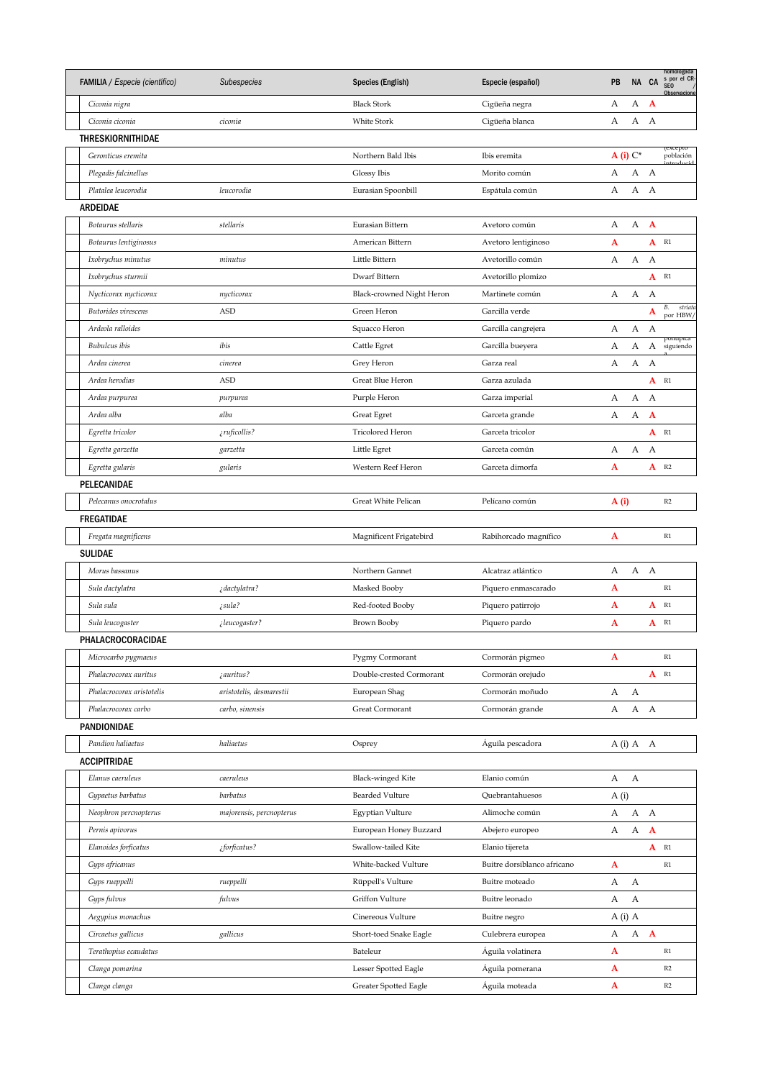| <b>Black Stork</b><br>А<br>А<br>$\mathbf{A}$<br>Ciconia nigra<br>Cigüeña negra<br>А<br>А<br>Ciconia ciconia<br>White Stork<br>А<br>ciconia<br>Cigüeña blanca<br><b>THRESKIORNITHIDAE</b><br>(excepto<br>$A(i) C^*$<br>población<br>Geronticus eremita<br>Northern Bald Ibis<br>Ibis eremita<br>А<br>A<br>Plegadis falcinellus<br>Glossy Ibis<br>Morito común<br>А<br>А<br>A<br>Platalea leucorodia<br>Eurasian Spoonbill<br>А<br>leucorodia<br>Espátula común<br>ARDEIDAE<br>А<br>Botaurus stellaris<br>stellaris<br>Eurasian Bittern<br>А<br>$\mathbf{A}$<br>Avetoro común<br>A<br>$A$ R <sub>1</sub><br>American Bittern<br>Botaurus lentiginosus<br>Avetoro lentiginoso<br>А<br>А<br>Little Bittern<br>Avetorillo común<br>А<br>Ixobrychus minutus<br>minutus<br>$A$ R <sub>1</sub><br>Ixobrychus sturmii<br>Dwarf Bittern<br>Avetorillo plomizo<br>А<br>Nycticorax nycticorax<br>Black-crowned Night Heron<br>А<br>А<br>nycticorax<br>Martinete común<br>В.<br>striate<br>A<br>Butorides virescens<br>ASD<br>Green Heron<br>Garcilla verde<br>por HBW/<br>А<br>А<br>Ardeola ralloides<br>Garcilla cangrejera<br>А<br>Squacco Heron<br>роппріса<br>Α<br>А<br>Bubulcus ibis<br>ibis<br>Cattle Egret<br>Garcilla bueyera<br>А<br>siguiendo<br>А<br>Grey Heron<br>Garza real<br>А<br>А<br>Ardea cinerea<br>cinerea<br><b>ASD</b><br>$A$ R <sub>1</sub><br>Ardea herodias<br>Great Blue Heron<br>Garza azulada<br>А<br>А<br>А<br>Ardea purpurea<br>Purple Heron<br>Garza imperial<br>purpurea<br>А<br>$\mathbf{A}$<br>А<br>Ardea alba<br>alba<br>Garceta grande<br>Great Egret<br>$A$ R <sub>1</sub><br>¿ruficollis?<br>Tricolored Heron<br>Garceta tricolor<br>Egretta tricolor<br>А<br>Little Egret<br>Garceta común<br>А<br>А<br>Egretta garzetta<br>garzetta<br>A<br>A<br>R2<br>Egretta gularis<br>Western Reef Heron<br>gularis<br>Garceta dimorfa<br>PELECANIDAE<br>$\mathbb{R}2$<br>Pelecanus onocrotalus<br>Great White Pelican<br>A (i)<br>Pelícano común<br><b>FREGATIDAE</b><br>A<br>$\mathbb{R}1$<br>Fregata magnificens<br>Magnificent Frigatebird<br>Rabihorcado magnífico<br>SULIDAE<br>А<br>Morus bassanus<br>Northern Gannet<br>Alcatraz atlántico<br>А<br>A<br>$\mathbb{R}1$<br>Sula dactylatra<br>¿dactylatra?<br>Masked Booby<br>A<br>Piquero enmascarado<br>Red-footed Booby<br>A<br>A<br>R1<br>Sula sula<br>¿sula?<br>Piquero patirrojo<br>¿leucogaster?<br>A<br>A<br>R1<br>Sula leucogaster<br>Brown Booby<br>Piquero pardo<br>PHALACROCORACIDAE<br>A<br>Microcarbo pygmaeus<br>Pygmy Cormorant<br>Cormorán pigmeo<br>R1<br>${\bf A}$<br>R1<br><i>zauritus?</i><br>Double-crested Cormorant<br>Cormorán orejudo<br>Phalacrocorax auritus<br>aristotelis, desmarestii<br>А<br>А<br>Phalacrocorax aristotelis<br>European Shag<br>Cormorán moñudo<br>А<br>Phalacrocorax carbo<br>carbo, sinensis<br>Great Cormorant<br>Cormorán grande<br>А<br>А<br>PANDIONIDAE<br>Pandion haliaetus<br>haliaetus<br>Osprey<br>Águila pescadora<br>$A(i)$ $A$ $A$<br><b>ACCIPITRIDAE</b><br>А<br>Elanus caeruleus<br>caeruleus<br>Elanio común<br>А<br>Black-winged Kite<br><b>Bearded Vulture</b><br>A(i)<br>Gypaetus barbatus<br>barbatus<br>Quebrantahuesos<br>А<br>A<br>Neophron percnopterus<br>Egyptian Vulture<br>Alimoche común<br>А<br>majorensis, percnopterus<br>Α<br>$\mathbf{A}$<br>А<br>Pernis apivorus<br>European Honey Buzzard<br>Abejero europeo<br>$A$ R <sub>1</sub><br>Elanoides forficatus<br>Swallow-tailed Kite<br>Elanio tijereta<br>¿forficatus?<br>Buitre dorsiblanco africano<br>A<br>$\mathbb{R}1$<br>Gyps africanus<br>White-backed Vulture<br>А<br>А<br>Gyps rueppelli<br>rueppelli<br>Rüppell's Vulture<br>Buitre moteado<br>A<br>А<br>fulvus<br>Griffon Vulture<br>Gyps fulvus<br>Buitre leonado<br>A (i) A<br>Aegypius monachus<br>Cinereous Vulture<br>Buitre negro<br>A A<br>А<br>Circaetus gallicus<br>gallicus<br>Short-toed Snake Eagle<br>Culebrera europea<br>A<br>$\mathbb{R}1$<br>Terathopius ecaudatus<br>Bateleur<br>Águila volatinera<br>A<br>R2<br>Clanga pomarina<br>Lesser Spotted Eagle<br>Águila pomerana | FAMILIA / Especie (científico) | Subespecies | Species (English) | Especie (español) | PB | NA CA | homologada<br>s por el CR-<br>SEO<br>Observacione |
|------------------------------------------------------------------------------------------------------------------------------------------------------------------------------------------------------------------------------------------------------------------------------------------------------------------------------------------------------------------------------------------------------------------------------------------------------------------------------------------------------------------------------------------------------------------------------------------------------------------------------------------------------------------------------------------------------------------------------------------------------------------------------------------------------------------------------------------------------------------------------------------------------------------------------------------------------------------------------------------------------------------------------------------------------------------------------------------------------------------------------------------------------------------------------------------------------------------------------------------------------------------------------------------------------------------------------------------------------------------------------------------------------------------------------------------------------------------------------------------------------------------------------------------------------------------------------------------------------------------------------------------------------------------------------------------------------------------------------------------------------------------------------------------------------------------------------------------------------------------------------------------------------------------------------------------------------------------------------------------------------------------------------------------------------------------------------------------------------------------------------------------------------------------------------------------------------------------------------------------------------------------------------------------------------------------------------------------------------------------------------------------------------------------------------------------------------------------------------------------------------------------------------------------------------------------------------------------------------------------------------------------------------------------------------------------------------------------------------------------------------------------------------------------------------------------------------------------------------------------------------------------------------------------------------------------------------------------------------------------------------------------------------------------------------------------------------------------------------------------------------------------------------------------------------------------------------------------------------------------------------------------------------------------------------------------------------------------------------------------------------------------------------------------------------------------------------------------------------------------------------------------------------------------------------------------------------------------------------------------------------------------------------------------------------------------------------------------------------------------------------------------------------------------------------------------------------------------------------------------------------------------------------------------------------------------------------------------------------------------------------------------------------------------------------------------|--------------------------------|-------------|-------------------|-------------------|----|-------|---------------------------------------------------|
|                                                                                                                                                                                                                                                                                                                                                                                                                                                                                                                                                                                                                                                                                                                                                                                                                                                                                                                                                                                                                                                                                                                                                                                                                                                                                                                                                                                                                                                                                                                                                                                                                                                                                                                                                                                                                                                                                                                                                                                                                                                                                                                                                                                                                                                                                                                                                                                                                                                                                                                                                                                                                                                                                                                                                                                                                                                                                                                                                                                                                                                                                                                                                                                                                                                                                                                                                                                                                                                                                                                                                                                                                                                                                                                                                                                                                                                                                                                                                                                                                                                                  |                                |             |                   |                   |    |       |                                                   |
|                                                                                                                                                                                                                                                                                                                                                                                                                                                                                                                                                                                                                                                                                                                                                                                                                                                                                                                                                                                                                                                                                                                                                                                                                                                                                                                                                                                                                                                                                                                                                                                                                                                                                                                                                                                                                                                                                                                                                                                                                                                                                                                                                                                                                                                                                                                                                                                                                                                                                                                                                                                                                                                                                                                                                                                                                                                                                                                                                                                                                                                                                                                                                                                                                                                                                                                                                                                                                                                                                                                                                                                                                                                                                                                                                                                                                                                                                                                                                                                                                                                                  |                                |             |                   |                   |    |       |                                                   |
|                                                                                                                                                                                                                                                                                                                                                                                                                                                                                                                                                                                                                                                                                                                                                                                                                                                                                                                                                                                                                                                                                                                                                                                                                                                                                                                                                                                                                                                                                                                                                                                                                                                                                                                                                                                                                                                                                                                                                                                                                                                                                                                                                                                                                                                                                                                                                                                                                                                                                                                                                                                                                                                                                                                                                                                                                                                                                                                                                                                                                                                                                                                                                                                                                                                                                                                                                                                                                                                                                                                                                                                                                                                                                                                                                                                                                                                                                                                                                                                                                                                                  |                                |             |                   |                   |    |       |                                                   |
|                                                                                                                                                                                                                                                                                                                                                                                                                                                                                                                                                                                                                                                                                                                                                                                                                                                                                                                                                                                                                                                                                                                                                                                                                                                                                                                                                                                                                                                                                                                                                                                                                                                                                                                                                                                                                                                                                                                                                                                                                                                                                                                                                                                                                                                                                                                                                                                                                                                                                                                                                                                                                                                                                                                                                                                                                                                                                                                                                                                                                                                                                                                                                                                                                                                                                                                                                                                                                                                                                                                                                                                                                                                                                                                                                                                                                                                                                                                                                                                                                                                                  |                                |             |                   |                   |    |       |                                                   |
|                                                                                                                                                                                                                                                                                                                                                                                                                                                                                                                                                                                                                                                                                                                                                                                                                                                                                                                                                                                                                                                                                                                                                                                                                                                                                                                                                                                                                                                                                                                                                                                                                                                                                                                                                                                                                                                                                                                                                                                                                                                                                                                                                                                                                                                                                                                                                                                                                                                                                                                                                                                                                                                                                                                                                                                                                                                                                                                                                                                                                                                                                                                                                                                                                                                                                                                                                                                                                                                                                                                                                                                                                                                                                                                                                                                                                                                                                                                                                                                                                                                                  |                                |             |                   |                   |    |       |                                                   |
|                                                                                                                                                                                                                                                                                                                                                                                                                                                                                                                                                                                                                                                                                                                                                                                                                                                                                                                                                                                                                                                                                                                                                                                                                                                                                                                                                                                                                                                                                                                                                                                                                                                                                                                                                                                                                                                                                                                                                                                                                                                                                                                                                                                                                                                                                                                                                                                                                                                                                                                                                                                                                                                                                                                                                                                                                                                                                                                                                                                                                                                                                                                                                                                                                                                                                                                                                                                                                                                                                                                                                                                                                                                                                                                                                                                                                                                                                                                                                                                                                                                                  |                                |             |                   |                   |    |       |                                                   |
|                                                                                                                                                                                                                                                                                                                                                                                                                                                                                                                                                                                                                                                                                                                                                                                                                                                                                                                                                                                                                                                                                                                                                                                                                                                                                                                                                                                                                                                                                                                                                                                                                                                                                                                                                                                                                                                                                                                                                                                                                                                                                                                                                                                                                                                                                                                                                                                                                                                                                                                                                                                                                                                                                                                                                                                                                                                                                                                                                                                                                                                                                                                                                                                                                                                                                                                                                                                                                                                                                                                                                                                                                                                                                                                                                                                                                                                                                                                                                                                                                                                                  |                                |             |                   |                   |    |       |                                                   |
|                                                                                                                                                                                                                                                                                                                                                                                                                                                                                                                                                                                                                                                                                                                                                                                                                                                                                                                                                                                                                                                                                                                                                                                                                                                                                                                                                                                                                                                                                                                                                                                                                                                                                                                                                                                                                                                                                                                                                                                                                                                                                                                                                                                                                                                                                                                                                                                                                                                                                                                                                                                                                                                                                                                                                                                                                                                                                                                                                                                                                                                                                                                                                                                                                                                                                                                                                                                                                                                                                                                                                                                                                                                                                                                                                                                                                                                                                                                                                                                                                                                                  |                                |             |                   |                   |    |       |                                                   |
|                                                                                                                                                                                                                                                                                                                                                                                                                                                                                                                                                                                                                                                                                                                                                                                                                                                                                                                                                                                                                                                                                                                                                                                                                                                                                                                                                                                                                                                                                                                                                                                                                                                                                                                                                                                                                                                                                                                                                                                                                                                                                                                                                                                                                                                                                                                                                                                                                                                                                                                                                                                                                                                                                                                                                                                                                                                                                                                                                                                                                                                                                                                                                                                                                                                                                                                                                                                                                                                                                                                                                                                                                                                                                                                                                                                                                                                                                                                                                                                                                                                                  |                                |             |                   |                   |    |       |                                                   |
|                                                                                                                                                                                                                                                                                                                                                                                                                                                                                                                                                                                                                                                                                                                                                                                                                                                                                                                                                                                                                                                                                                                                                                                                                                                                                                                                                                                                                                                                                                                                                                                                                                                                                                                                                                                                                                                                                                                                                                                                                                                                                                                                                                                                                                                                                                                                                                                                                                                                                                                                                                                                                                                                                                                                                                                                                                                                                                                                                                                                                                                                                                                                                                                                                                                                                                                                                                                                                                                                                                                                                                                                                                                                                                                                                                                                                                                                                                                                                                                                                                                                  |                                |             |                   |                   |    |       |                                                   |
|                                                                                                                                                                                                                                                                                                                                                                                                                                                                                                                                                                                                                                                                                                                                                                                                                                                                                                                                                                                                                                                                                                                                                                                                                                                                                                                                                                                                                                                                                                                                                                                                                                                                                                                                                                                                                                                                                                                                                                                                                                                                                                                                                                                                                                                                                                                                                                                                                                                                                                                                                                                                                                                                                                                                                                                                                                                                                                                                                                                                                                                                                                                                                                                                                                                                                                                                                                                                                                                                                                                                                                                                                                                                                                                                                                                                                                                                                                                                                                                                                                                                  |                                |             |                   |                   |    |       |                                                   |
|                                                                                                                                                                                                                                                                                                                                                                                                                                                                                                                                                                                                                                                                                                                                                                                                                                                                                                                                                                                                                                                                                                                                                                                                                                                                                                                                                                                                                                                                                                                                                                                                                                                                                                                                                                                                                                                                                                                                                                                                                                                                                                                                                                                                                                                                                                                                                                                                                                                                                                                                                                                                                                                                                                                                                                                                                                                                                                                                                                                                                                                                                                                                                                                                                                                                                                                                                                                                                                                                                                                                                                                                                                                                                                                                                                                                                                                                                                                                                                                                                                                                  |                                |             |                   |                   |    |       |                                                   |
|                                                                                                                                                                                                                                                                                                                                                                                                                                                                                                                                                                                                                                                                                                                                                                                                                                                                                                                                                                                                                                                                                                                                                                                                                                                                                                                                                                                                                                                                                                                                                                                                                                                                                                                                                                                                                                                                                                                                                                                                                                                                                                                                                                                                                                                                                                                                                                                                                                                                                                                                                                                                                                                                                                                                                                                                                                                                                                                                                                                                                                                                                                                                                                                                                                                                                                                                                                                                                                                                                                                                                                                                                                                                                                                                                                                                                                                                                                                                                                                                                                                                  |                                |             |                   |                   |    |       |                                                   |
|                                                                                                                                                                                                                                                                                                                                                                                                                                                                                                                                                                                                                                                                                                                                                                                                                                                                                                                                                                                                                                                                                                                                                                                                                                                                                                                                                                                                                                                                                                                                                                                                                                                                                                                                                                                                                                                                                                                                                                                                                                                                                                                                                                                                                                                                                                                                                                                                                                                                                                                                                                                                                                                                                                                                                                                                                                                                                                                                                                                                                                                                                                                                                                                                                                                                                                                                                                                                                                                                                                                                                                                                                                                                                                                                                                                                                                                                                                                                                                                                                                                                  |                                |             |                   |                   |    |       |                                                   |
|                                                                                                                                                                                                                                                                                                                                                                                                                                                                                                                                                                                                                                                                                                                                                                                                                                                                                                                                                                                                                                                                                                                                                                                                                                                                                                                                                                                                                                                                                                                                                                                                                                                                                                                                                                                                                                                                                                                                                                                                                                                                                                                                                                                                                                                                                                                                                                                                                                                                                                                                                                                                                                                                                                                                                                                                                                                                                                                                                                                                                                                                                                                                                                                                                                                                                                                                                                                                                                                                                                                                                                                                                                                                                                                                                                                                                                                                                                                                                                                                                                                                  |                                |             |                   |                   |    |       |                                                   |
|                                                                                                                                                                                                                                                                                                                                                                                                                                                                                                                                                                                                                                                                                                                                                                                                                                                                                                                                                                                                                                                                                                                                                                                                                                                                                                                                                                                                                                                                                                                                                                                                                                                                                                                                                                                                                                                                                                                                                                                                                                                                                                                                                                                                                                                                                                                                                                                                                                                                                                                                                                                                                                                                                                                                                                                                                                                                                                                                                                                                                                                                                                                                                                                                                                                                                                                                                                                                                                                                                                                                                                                                                                                                                                                                                                                                                                                                                                                                                                                                                                                                  |                                |             |                   |                   |    |       |                                                   |
|                                                                                                                                                                                                                                                                                                                                                                                                                                                                                                                                                                                                                                                                                                                                                                                                                                                                                                                                                                                                                                                                                                                                                                                                                                                                                                                                                                                                                                                                                                                                                                                                                                                                                                                                                                                                                                                                                                                                                                                                                                                                                                                                                                                                                                                                                                                                                                                                                                                                                                                                                                                                                                                                                                                                                                                                                                                                                                                                                                                                                                                                                                                                                                                                                                                                                                                                                                                                                                                                                                                                                                                                                                                                                                                                                                                                                                                                                                                                                                                                                                                                  |                                |             |                   |                   |    |       |                                                   |
|                                                                                                                                                                                                                                                                                                                                                                                                                                                                                                                                                                                                                                                                                                                                                                                                                                                                                                                                                                                                                                                                                                                                                                                                                                                                                                                                                                                                                                                                                                                                                                                                                                                                                                                                                                                                                                                                                                                                                                                                                                                                                                                                                                                                                                                                                                                                                                                                                                                                                                                                                                                                                                                                                                                                                                                                                                                                                                                                                                                                                                                                                                                                                                                                                                                                                                                                                                                                                                                                                                                                                                                                                                                                                                                                                                                                                                                                                                                                                                                                                                                                  |                                |             |                   |                   |    |       |                                                   |
|                                                                                                                                                                                                                                                                                                                                                                                                                                                                                                                                                                                                                                                                                                                                                                                                                                                                                                                                                                                                                                                                                                                                                                                                                                                                                                                                                                                                                                                                                                                                                                                                                                                                                                                                                                                                                                                                                                                                                                                                                                                                                                                                                                                                                                                                                                                                                                                                                                                                                                                                                                                                                                                                                                                                                                                                                                                                                                                                                                                                                                                                                                                                                                                                                                                                                                                                                                                                                                                                                                                                                                                                                                                                                                                                                                                                                                                                                                                                                                                                                                                                  |                                |             |                   |                   |    |       |                                                   |
|                                                                                                                                                                                                                                                                                                                                                                                                                                                                                                                                                                                                                                                                                                                                                                                                                                                                                                                                                                                                                                                                                                                                                                                                                                                                                                                                                                                                                                                                                                                                                                                                                                                                                                                                                                                                                                                                                                                                                                                                                                                                                                                                                                                                                                                                                                                                                                                                                                                                                                                                                                                                                                                                                                                                                                                                                                                                                                                                                                                                                                                                                                                                                                                                                                                                                                                                                                                                                                                                                                                                                                                                                                                                                                                                                                                                                                                                                                                                                                                                                                                                  |                                |             |                   |                   |    |       |                                                   |
|                                                                                                                                                                                                                                                                                                                                                                                                                                                                                                                                                                                                                                                                                                                                                                                                                                                                                                                                                                                                                                                                                                                                                                                                                                                                                                                                                                                                                                                                                                                                                                                                                                                                                                                                                                                                                                                                                                                                                                                                                                                                                                                                                                                                                                                                                                                                                                                                                                                                                                                                                                                                                                                                                                                                                                                                                                                                                                                                                                                                                                                                                                                                                                                                                                                                                                                                                                                                                                                                                                                                                                                                                                                                                                                                                                                                                                                                                                                                                                                                                                                                  |                                |             |                   |                   |    |       |                                                   |
|                                                                                                                                                                                                                                                                                                                                                                                                                                                                                                                                                                                                                                                                                                                                                                                                                                                                                                                                                                                                                                                                                                                                                                                                                                                                                                                                                                                                                                                                                                                                                                                                                                                                                                                                                                                                                                                                                                                                                                                                                                                                                                                                                                                                                                                                                                                                                                                                                                                                                                                                                                                                                                                                                                                                                                                                                                                                                                                                                                                                                                                                                                                                                                                                                                                                                                                                                                                                                                                                                                                                                                                                                                                                                                                                                                                                                                                                                                                                                                                                                                                                  |                                |             |                   |                   |    |       |                                                   |
|                                                                                                                                                                                                                                                                                                                                                                                                                                                                                                                                                                                                                                                                                                                                                                                                                                                                                                                                                                                                                                                                                                                                                                                                                                                                                                                                                                                                                                                                                                                                                                                                                                                                                                                                                                                                                                                                                                                                                                                                                                                                                                                                                                                                                                                                                                                                                                                                                                                                                                                                                                                                                                                                                                                                                                                                                                                                                                                                                                                                                                                                                                                                                                                                                                                                                                                                                                                                                                                                                                                                                                                                                                                                                                                                                                                                                                                                                                                                                                                                                                                                  |                                |             |                   |                   |    |       |                                                   |
|                                                                                                                                                                                                                                                                                                                                                                                                                                                                                                                                                                                                                                                                                                                                                                                                                                                                                                                                                                                                                                                                                                                                                                                                                                                                                                                                                                                                                                                                                                                                                                                                                                                                                                                                                                                                                                                                                                                                                                                                                                                                                                                                                                                                                                                                                                                                                                                                                                                                                                                                                                                                                                                                                                                                                                                                                                                                                                                                                                                                                                                                                                                                                                                                                                                                                                                                                                                                                                                                                                                                                                                                                                                                                                                                                                                                                                                                                                                                                                                                                                                                  |                                |             |                   |                   |    |       |                                                   |
|                                                                                                                                                                                                                                                                                                                                                                                                                                                                                                                                                                                                                                                                                                                                                                                                                                                                                                                                                                                                                                                                                                                                                                                                                                                                                                                                                                                                                                                                                                                                                                                                                                                                                                                                                                                                                                                                                                                                                                                                                                                                                                                                                                                                                                                                                                                                                                                                                                                                                                                                                                                                                                                                                                                                                                                                                                                                                                                                                                                                                                                                                                                                                                                                                                                                                                                                                                                                                                                                                                                                                                                                                                                                                                                                                                                                                                                                                                                                                                                                                                                                  |                                |             |                   |                   |    |       |                                                   |
|                                                                                                                                                                                                                                                                                                                                                                                                                                                                                                                                                                                                                                                                                                                                                                                                                                                                                                                                                                                                                                                                                                                                                                                                                                                                                                                                                                                                                                                                                                                                                                                                                                                                                                                                                                                                                                                                                                                                                                                                                                                                                                                                                                                                                                                                                                                                                                                                                                                                                                                                                                                                                                                                                                                                                                                                                                                                                                                                                                                                                                                                                                                                                                                                                                                                                                                                                                                                                                                                                                                                                                                                                                                                                                                                                                                                                                                                                                                                                                                                                                                                  |                                |             |                   |                   |    |       |                                                   |
|                                                                                                                                                                                                                                                                                                                                                                                                                                                                                                                                                                                                                                                                                                                                                                                                                                                                                                                                                                                                                                                                                                                                                                                                                                                                                                                                                                                                                                                                                                                                                                                                                                                                                                                                                                                                                                                                                                                                                                                                                                                                                                                                                                                                                                                                                                                                                                                                                                                                                                                                                                                                                                                                                                                                                                                                                                                                                                                                                                                                                                                                                                                                                                                                                                                                                                                                                                                                                                                                                                                                                                                                                                                                                                                                                                                                                                                                                                                                                                                                                                                                  |                                |             |                   |                   |    |       |                                                   |
|                                                                                                                                                                                                                                                                                                                                                                                                                                                                                                                                                                                                                                                                                                                                                                                                                                                                                                                                                                                                                                                                                                                                                                                                                                                                                                                                                                                                                                                                                                                                                                                                                                                                                                                                                                                                                                                                                                                                                                                                                                                                                                                                                                                                                                                                                                                                                                                                                                                                                                                                                                                                                                                                                                                                                                                                                                                                                                                                                                                                                                                                                                                                                                                                                                                                                                                                                                                                                                                                                                                                                                                                                                                                                                                                                                                                                                                                                                                                                                                                                                                                  |                                |             |                   |                   |    |       |                                                   |
|                                                                                                                                                                                                                                                                                                                                                                                                                                                                                                                                                                                                                                                                                                                                                                                                                                                                                                                                                                                                                                                                                                                                                                                                                                                                                                                                                                                                                                                                                                                                                                                                                                                                                                                                                                                                                                                                                                                                                                                                                                                                                                                                                                                                                                                                                                                                                                                                                                                                                                                                                                                                                                                                                                                                                                                                                                                                                                                                                                                                                                                                                                                                                                                                                                                                                                                                                                                                                                                                                                                                                                                                                                                                                                                                                                                                                                                                                                                                                                                                                                                                  |                                |             |                   |                   |    |       |                                                   |
|                                                                                                                                                                                                                                                                                                                                                                                                                                                                                                                                                                                                                                                                                                                                                                                                                                                                                                                                                                                                                                                                                                                                                                                                                                                                                                                                                                                                                                                                                                                                                                                                                                                                                                                                                                                                                                                                                                                                                                                                                                                                                                                                                                                                                                                                                                                                                                                                                                                                                                                                                                                                                                                                                                                                                                                                                                                                                                                                                                                                                                                                                                                                                                                                                                                                                                                                                                                                                                                                                                                                                                                                                                                                                                                                                                                                                                                                                                                                                                                                                                                                  |                                |             |                   |                   |    |       |                                                   |
|                                                                                                                                                                                                                                                                                                                                                                                                                                                                                                                                                                                                                                                                                                                                                                                                                                                                                                                                                                                                                                                                                                                                                                                                                                                                                                                                                                                                                                                                                                                                                                                                                                                                                                                                                                                                                                                                                                                                                                                                                                                                                                                                                                                                                                                                                                                                                                                                                                                                                                                                                                                                                                                                                                                                                                                                                                                                                                                                                                                                                                                                                                                                                                                                                                                                                                                                                                                                                                                                                                                                                                                                                                                                                                                                                                                                                                                                                                                                                                                                                                                                  |                                |             |                   |                   |    |       |                                                   |
|                                                                                                                                                                                                                                                                                                                                                                                                                                                                                                                                                                                                                                                                                                                                                                                                                                                                                                                                                                                                                                                                                                                                                                                                                                                                                                                                                                                                                                                                                                                                                                                                                                                                                                                                                                                                                                                                                                                                                                                                                                                                                                                                                                                                                                                                                                                                                                                                                                                                                                                                                                                                                                                                                                                                                                                                                                                                                                                                                                                                                                                                                                                                                                                                                                                                                                                                                                                                                                                                                                                                                                                                                                                                                                                                                                                                                                                                                                                                                                                                                                                                  |                                |             |                   |                   |    |       |                                                   |
|                                                                                                                                                                                                                                                                                                                                                                                                                                                                                                                                                                                                                                                                                                                                                                                                                                                                                                                                                                                                                                                                                                                                                                                                                                                                                                                                                                                                                                                                                                                                                                                                                                                                                                                                                                                                                                                                                                                                                                                                                                                                                                                                                                                                                                                                                                                                                                                                                                                                                                                                                                                                                                                                                                                                                                                                                                                                                                                                                                                                                                                                                                                                                                                                                                                                                                                                                                                                                                                                                                                                                                                                                                                                                                                                                                                                                                                                                                                                                                                                                                                                  |                                |             |                   |                   |    |       |                                                   |
|                                                                                                                                                                                                                                                                                                                                                                                                                                                                                                                                                                                                                                                                                                                                                                                                                                                                                                                                                                                                                                                                                                                                                                                                                                                                                                                                                                                                                                                                                                                                                                                                                                                                                                                                                                                                                                                                                                                                                                                                                                                                                                                                                                                                                                                                                                                                                                                                                                                                                                                                                                                                                                                                                                                                                                                                                                                                                                                                                                                                                                                                                                                                                                                                                                                                                                                                                                                                                                                                                                                                                                                                                                                                                                                                                                                                                                                                                                                                                                                                                                                                  |                                |             |                   |                   |    |       |                                                   |
|                                                                                                                                                                                                                                                                                                                                                                                                                                                                                                                                                                                                                                                                                                                                                                                                                                                                                                                                                                                                                                                                                                                                                                                                                                                                                                                                                                                                                                                                                                                                                                                                                                                                                                                                                                                                                                                                                                                                                                                                                                                                                                                                                                                                                                                                                                                                                                                                                                                                                                                                                                                                                                                                                                                                                                                                                                                                                                                                                                                                                                                                                                                                                                                                                                                                                                                                                                                                                                                                                                                                                                                                                                                                                                                                                                                                                                                                                                                                                                                                                                                                  |                                |             |                   |                   |    |       |                                                   |
|                                                                                                                                                                                                                                                                                                                                                                                                                                                                                                                                                                                                                                                                                                                                                                                                                                                                                                                                                                                                                                                                                                                                                                                                                                                                                                                                                                                                                                                                                                                                                                                                                                                                                                                                                                                                                                                                                                                                                                                                                                                                                                                                                                                                                                                                                                                                                                                                                                                                                                                                                                                                                                                                                                                                                                                                                                                                                                                                                                                                                                                                                                                                                                                                                                                                                                                                                                                                                                                                                                                                                                                                                                                                                                                                                                                                                                                                                                                                                                                                                                                                  |                                |             |                   |                   |    |       |                                                   |
|                                                                                                                                                                                                                                                                                                                                                                                                                                                                                                                                                                                                                                                                                                                                                                                                                                                                                                                                                                                                                                                                                                                                                                                                                                                                                                                                                                                                                                                                                                                                                                                                                                                                                                                                                                                                                                                                                                                                                                                                                                                                                                                                                                                                                                                                                                                                                                                                                                                                                                                                                                                                                                                                                                                                                                                                                                                                                                                                                                                                                                                                                                                                                                                                                                                                                                                                                                                                                                                                                                                                                                                                                                                                                                                                                                                                                                                                                                                                                                                                                                                                  |                                |             |                   |                   |    |       |                                                   |
|                                                                                                                                                                                                                                                                                                                                                                                                                                                                                                                                                                                                                                                                                                                                                                                                                                                                                                                                                                                                                                                                                                                                                                                                                                                                                                                                                                                                                                                                                                                                                                                                                                                                                                                                                                                                                                                                                                                                                                                                                                                                                                                                                                                                                                                                                                                                                                                                                                                                                                                                                                                                                                                                                                                                                                                                                                                                                                                                                                                                                                                                                                                                                                                                                                                                                                                                                                                                                                                                                                                                                                                                                                                                                                                                                                                                                                                                                                                                                                                                                                                                  |                                |             |                   |                   |    |       |                                                   |
|                                                                                                                                                                                                                                                                                                                                                                                                                                                                                                                                                                                                                                                                                                                                                                                                                                                                                                                                                                                                                                                                                                                                                                                                                                                                                                                                                                                                                                                                                                                                                                                                                                                                                                                                                                                                                                                                                                                                                                                                                                                                                                                                                                                                                                                                                                                                                                                                                                                                                                                                                                                                                                                                                                                                                                                                                                                                                                                                                                                                                                                                                                                                                                                                                                                                                                                                                                                                                                                                                                                                                                                                                                                                                                                                                                                                                                                                                                                                                                                                                                                                  |                                |             |                   |                   |    |       |                                                   |
|                                                                                                                                                                                                                                                                                                                                                                                                                                                                                                                                                                                                                                                                                                                                                                                                                                                                                                                                                                                                                                                                                                                                                                                                                                                                                                                                                                                                                                                                                                                                                                                                                                                                                                                                                                                                                                                                                                                                                                                                                                                                                                                                                                                                                                                                                                                                                                                                                                                                                                                                                                                                                                                                                                                                                                                                                                                                                                                                                                                                                                                                                                                                                                                                                                                                                                                                                                                                                                                                                                                                                                                                                                                                                                                                                                                                                                                                                                                                                                                                                                                                  |                                |             |                   |                   |    |       |                                                   |
|                                                                                                                                                                                                                                                                                                                                                                                                                                                                                                                                                                                                                                                                                                                                                                                                                                                                                                                                                                                                                                                                                                                                                                                                                                                                                                                                                                                                                                                                                                                                                                                                                                                                                                                                                                                                                                                                                                                                                                                                                                                                                                                                                                                                                                                                                                                                                                                                                                                                                                                                                                                                                                                                                                                                                                                                                                                                                                                                                                                                                                                                                                                                                                                                                                                                                                                                                                                                                                                                                                                                                                                                                                                                                                                                                                                                                                                                                                                                                                                                                                                                  |                                |             |                   |                   |    |       |                                                   |
|                                                                                                                                                                                                                                                                                                                                                                                                                                                                                                                                                                                                                                                                                                                                                                                                                                                                                                                                                                                                                                                                                                                                                                                                                                                                                                                                                                                                                                                                                                                                                                                                                                                                                                                                                                                                                                                                                                                                                                                                                                                                                                                                                                                                                                                                                                                                                                                                                                                                                                                                                                                                                                                                                                                                                                                                                                                                                                                                                                                                                                                                                                                                                                                                                                                                                                                                                                                                                                                                                                                                                                                                                                                                                                                                                                                                                                                                                                                                                                                                                                                                  |                                |             |                   |                   |    |       |                                                   |
|                                                                                                                                                                                                                                                                                                                                                                                                                                                                                                                                                                                                                                                                                                                                                                                                                                                                                                                                                                                                                                                                                                                                                                                                                                                                                                                                                                                                                                                                                                                                                                                                                                                                                                                                                                                                                                                                                                                                                                                                                                                                                                                                                                                                                                                                                                                                                                                                                                                                                                                                                                                                                                                                                                                                                                                                                                                                                                                                                                                                                                                                                                                                                                                                                                                                                                                                                                                                                                                                                                                                                                                                                                                                                                                                                                                                                                                                                                                                                                                                                                                                  |                                |             |                   |                   |    |       |                                                   |
|                                                                                                                                                                                                                                                                                                                                                                                                                                                                                                                                                                                                                                                                                                                                                                                                                                                                                                                                                                                                                                                                                                                                                                                                                                                                                                                                                                                                                                                                                                                                                                                                                                                                                                                                                                                                                                                                                                                                                                                                                                                                                                                                                                                                                                                                                                                                                                                                                                                                                                                                                                                                                                                                                                                                                                                                                                                                                                                                                                                                                                                                                                                                                                                                                                                                                                                                                                                                                                                                                                                                                                                                                                                                                                                                                                                                                                                                                                                                                                                                                                                                  |                                |             |                   |                   |    |       |                                                   |
|                                                                                                                                                                                                                                                                                                                                                                                                                                                                                                                                                                                                                                                                                                                                                                                                                                                                                                                                                                                                                                                                                                                                                                                                                                                                                                                                                                                                                                                                                                                                                                                                                                                                                                                                                                                                                                                                                                                                                                                                                                                                                                                                                                                                                                                                                                                                                                                                                                                                                                                                                                                                                                                                                                                                                                                                                                                                                                                                                                                                                                                                                                                                                                                                                                                                                                                                                                                                                                                                                                                                                                                                                                                                                                                                                                                                                                                                                                                                                                                                                                                                  |                                |             |                   |                   |    |       |                                                   |
|                                                                                                                                                                                                                                                                                                                                                                                                                                                                                                                                                                                                                                                                                                                                                                                                                                                                                                                                                                                                                                                                                                                                                                                                                                                                                                                                                                                                                                                                                                                                                                                                                                                                                                                                                                                                                                                                                                                                                                                                                                                                                                                                                                                                                                                                                                                                                                                                                                                                                                                                                                                                                                                                                                                                                                                                                                                                                                                                                                                                                                                                                                                                                                                                                                                                                                                                                                                                                                                                                                                                                                                                                                                                                                                                                                                                                                                                                                                                                                                                                                                                  |                                |             |                   |                   |    |       |                                                   |
|                                                                                                                                                                                                                                                                                                                                                                                                                                                                                                                                                                                                                                                                                                                                                                                                                                                                                                                                                                                                                                                                                                                                                                                                                                                                                                                                                                                                                                                                                                                                                                                                                                                                                                                                                                                                                                                                                                                                                                                                                                                                                                                                                                                                                                                                                                                                                                                                                                                                                                                                                                                                                                                                                                                                                                                                                                                                                                                                                                                                                                                                                                                                                                                                                                                                                                                                                                                                                                                                                                                                                                                                                                                                                                                                                                                                                                                                                                                                                                                                                                                                  |                                |             |                   |                   |    |       |                                                   |
|                                                                                                                                                                                                                                                                                                                                                                                                                                                                                                                                                                                                                                                                                                                                                                                                                                                                                                                                                                                                                                                                                                                                                                                                                                                                                                                                                                                                                                                                                                                                                                                                                                                                                                                                                                                                                                                                                                                                                                                                                                                                                                                                                                                                                                                                                                                                                                                                                                                                                                                                                                                                                                                                                                                                                                                                                                                                                                                                                                                                                                                                                                                                                                                                                                                                                                                                                                                                                                                                                                                                                                                                                                                                                                                                                                                                                                                                                                                                                                                                                                                                  |                                |             |                   |                   |    |       |                                                   |
|                                                                                                                                                                                                                                                                                                                                                                                                                                                                                                                                                                                                                                                                                                                                                                                                                                                                                                                                                                                                                                                                                                                                                                                                                                                                                                                                                                                                                                                                                                                                                                                                                                                                                                                                                                                                                                                                                                                                                                                                                                                                                                                                                                                                                                                                                                                                                                                                                                                                                                                                                                                                                                                                                                                                                                                                                                                                                                                                                                                                                                                                                                                                                                                                                                                                                                                                                                                                                                                                                                                                                                                                                                                                                                                                                                                                                                                                                                                                                                                                                                                                  |                                |             |                   |                   |    |       |                                                   |
|                                                                                                                                                                                                                                                                                                                                                                                                                                                                                                                                                                                                                                                                                                                                                                                                                                                                                                                                                                                                                                                                                                                                                                                                                                                                                                                                                                                                                                                                                                                                                                                                                                                                                                                                                                                                                                                                                                                                                                                                                                                                                                                                                                                                                                                                                                                                                                                                                                                                                                                                                                                                                                                                                                                                                                                                                                                                                                                                                                                                                                                                                                                                                                                                                                                                                                                                                                                                                                                                                                                                                                                                                                                                                                                                                                                                                                                                                                                                                                                                                                                                  |                                |             |                   |                   |    |       |                                                   |
|                                                                                                                                                                                                                                                                                                                                                                                                                                                                                                                                                                                                                                                                                                                                                                                                                                                                                                                                                                                                                                                                                                                                                                                                                                                                                                                                                                                                                                                                                                                                                                                                                                                                                                                                                                                                                                                                                                                                                                                                                                                                                                                                                                                                                                                                                                                                                                                                                                                                                                                                                                                                                                                                                                                                                                                                                                                                                                                                                                                                                                                                                                                                                                                                                                                                                                                                                                                                                                                                                                                                                                                                                                                                                                                                                                                                                                                                                                                                                                                                                                                                  |                                |             |                   |                   |    |       |                                                   |
| Clanga clanga<br>Greater Spotted Eagle                                                                                                                                                                                                                                                                                                                                                                                                                                                                                                                                                                                                                                                                                                                                                                                                                                                                                                                                                                                                                                                                                                                                                                                                                                                                                                                                                                                                                                                                                                                                                                                                                                                                                                                                                                                                                                                                                                                                                                                                                                                                                                                                                                                                                                                                                                                                                                                                                                                                                                                                                                                                                                                                                                                                                                                                                                                                                                                                                                                                                                                                                                                                                                                                                                                                                                                                                                                                                                                                                                                                                                                                                                                                                                                                                                                                                                                                                                                                                                                                                           |                                |             |                   | Águila moteada    | A  |       | R2                                                |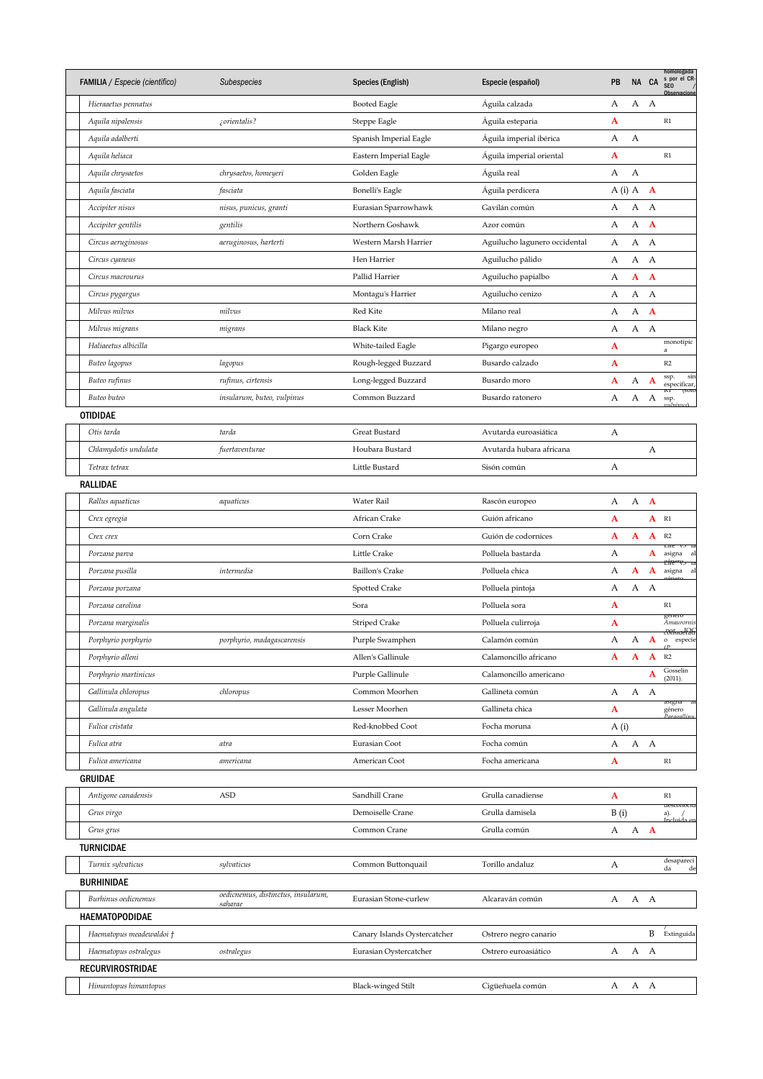| <b>FAMILIA</b> / Especie (científico) | Subespecies                        | Species (English)            | Especie (español)             | PB       |              | NA CA        | homologada<br>s por el CR-<br>SEO /<br>Observacione |
|---------------------------------------|------------------------------------|------------------------------|-------------------------------|----------|--------------|--------------|-----------------------------------------------------|
| Hieraaetus pennatus                   |                                    | Booted Eagle                 | Águila calzada                | А        | А            | А            |                                                     |
| Aquila nipalensis                     | ¿orientalis?                       | Steppe Eagle                 | Águila esteparia              | A        |              |              | R1                                                  |
| Aquila adalberti                      |                                    | Spanish Imperial Eagle       | Aguila imperial ibérica       | А        | А            |              |                                                     |
| Aquila heliaca                        |                                    | Eastern Imperial Eagle       | Águila imperial oriental      | A        |              |              | R1                                                  |
| Aquila chrysaetos                     | chrysaetos, homeyeri               | Golden Eagle                 | Águila real                   | А        | A            |              |                                                     |
| Aquila fasciata                       | fasciata                           | <b>Bonelli's Eagle</b>       | Águila perdicera              | $A(i)$ A |              | $\mathbf{A}$ |                                                     |
| Accipiter nisus                       | nisus, punicus, granti             | Eurasian Sparrowhawk         | Gavilán común                 | А        | А            | А            |                                                     |
| Accipiter gentilis                    | gentilis                           | Northern Goshawk             | Azor común                    | А        | А            | $\mathbf{A}$ |                                                     |
| Circus aeruginosus                    | aeruginosus, harterti              | Western Marsh Harrier        | Aguilucho lagunero occidental | А        | А            | А            |                                                     |
| Circus cyaneus                        |                                    | Hen Harrier                  | Aguilucho pálido              | А        | А            | A            |                                                     |
| Circus macrourus                      |                                    | Pallid Harrier               | Aguilucho papialbo            | А        | A            | $\mathbf{A}$ |                                                     |
| Circus pygargus                       |                                    | Montagu's Harrier            | Aguilucho cenizo              | А        | А            | А            |                                                     |
| Milvus milvus                         | milvus                             | Red Kite                     | Milano real                   | А        | А            | $\mathbf{A}$ |                                                     |
| Milvus migrans                        | migrans                            | <b>Black Kite</b>            | Milano negro                  | А        | A            | $\mathbf{A}$ |                                                     |
| Haliaeetus albicilla                  |                                    | White-tailed Eagle           | Pigargo europeo               | A        |              |              | monotípic<br>a                                      |
| Buteo lagopus                         | lagopus                            | Rough-legged Buzzard         | Busardo calzado               | A        |              |              | R2                                                  |
| Buteo rufinus                         | rufinus, cirtensis                 | Long-legged Buzzard          | Busardo moro                  | A        | А            | $\mathbf{A}$ | sin<br>ssp.<br>especificar,                         |
| Buteo buteo                           | insularum, buteo, vulpinus         | Common Buzzard               | Busardo ratonero              | А        | A            | A            | КI<br>ssp.                                          |
| <b>OTIDIDAE</b>                       |                                    |                              |                               |          |              |              |                                                     |
| Otis tarda                            | tarda                              | Great Bustard                | Avutarda euroasiática         | А        |              |              |                                                     |
| Chlamydotis undulata                  | fuertaventurae                     | Houbara Bustard              | Avutarda hubara africana      |          |              | А            |                                                     |
| Tetrax tetrax                         |                                    | Little Bustard               | Sisón común                   | А        |              |              |                                                     |
| RALLIDAE                              |                                    |                              |                               |          |              |              |                                                     |
| Rallus aquaticus                      | aquaticus                          | Water Rail                   | Rascón europeo                | А        | А            | $\mathbf{A}$ |                                                     |
| Crex egregia                          |                                    | African Crake                | Guión africano                | A        |              | A            | R1                                                  |
| Crex crex                             |                                    | Corn Crake                   | Guión de codornices           | A        | A            | A            | R2                                                  |
| Porzana parva                         |                                    | Little Crake                 | Polluela bastarda             | А        |              | A            | Life<br>V <sub>3</sub> k<br>asigna<br>-a            |
| Porzana pusilla                       | intermedia                         | <b>Baillon's Crake</b>       | Polluela chica                | А        | A            | A            | <del>Efre"V5</del><br>asigna<br>a                   |
| Porzana porzana                       |                                    | <b>Spotted Crake</b>         | Polluela pintoja              | А        | А            | А            |                                                     |
| Porzana carolina                      |                                    | Sora                         | Polluela sora                 | A        |              |              | R1                                                  |
| Porzana marginalis                    |                                    | <b>Striped Crake</b>         | Polluela culirroja            | A        |              |              | genero<br>Amaurornis                                |
| Porphyrio porphyrio                   | porphyrio, madagascarensis         | Purple Swamphen              | Calamón común                 | А        | А            | A            | <del>considerado</del><br>o especie                 |
| Porphyrio alleni                      |                                    | Allen's Gallinule            | Calamoncillo africano         | A        | $\mathbf{A}$ | A            | $\sqrt{D}$<br>R2                                    |
| Porphyrio martinicus                  |                                    | Purple Gallinule             | Calamoncillo americano        |          |              | A            | Gosselin                                            |
| Gallinula chloropus                   | chloropus                          | Common Moorhen               | Gallineta común               | А        | А            | А            | (2011).                                             |
| Gallinula angulata                    |                                    | Lesser Moorhen               | Gallineta chica               | A        |              |              | asigna<br>género                                    |
| Fulica cristata                       |                                    | Red-knobbed Coot             | Focha moruna                  | A(i)     |              |              |                                                     |
| Fulica atra                           | atra                               | Eurasian Coot                | Focha común                   | А        | А            | A            |                                                     |
| Fulica americana                      | americana                          | American Coot                | Focha americana               | A        |              |              | $\mathbb{R}1$                                       |
| <b>GRUIDAE</b>                        |                                    |                              |                               |          |              |              |                                                     |
| Antigone canadensis                   | <b>ASD</b>                         | Sandhill Crane               | Grulla canadiense             | A        |              |              | R1                                                  |
| Grus virgo                            |                                    | Demoiselle Crane             | Grulla damisela               |          |              |              | aesconocic                                          |
|                                       |                                    | Common Crane                 | Grulla común                  | B(i)     |              |              | a).                                                 |
| Grus grus                             |                                    |                              |                               | А        | А            | $\mathbf{A}$ |                                                     |
| TURNICIDAE                            |                                    |                              |                               |          |              |              | desapareci                                          |
| Turnix sylvaticus                     | sylvaticus                         | Common Buttonquail           | Torillo andaluz               | А        |              |              | de<br>da                                            |
| <b>BURHINIDAE</b>                     | oedicnemus, distinctus, insularum, |                              |                               | А        | A A          |              |                                                     |
| Burhinus oedicnemus                   | saharae                            | Eurasian Stone-curlew        | Alcaraván común               |          |              |              |                                                     |
| <b>HAEMATOPODIDAE</b>                 |                                    |                              |                               |          |              | B            |                                                     |
| Haematopus meadewaldoi †              |                                    | Canary Islands Oystercatcher | Ostrero negro canario         |          |              | A            | Extinguida                                          |
| Haematopus ostralegus                 | ostralegus                         | Eurasian Oystercatcher       | Ostrero euroasiático          | А        | А            |              |                                                     |
| <b>RECURVIROSTRIDAE</b>               |                                    |                              |                               |          |              |              |                                                     |
| Himantopus himantopus                 |                                    | <b>Black-winged Stilt</b>    | Cigüeñuela común              | А        | A A          |              |                                                     |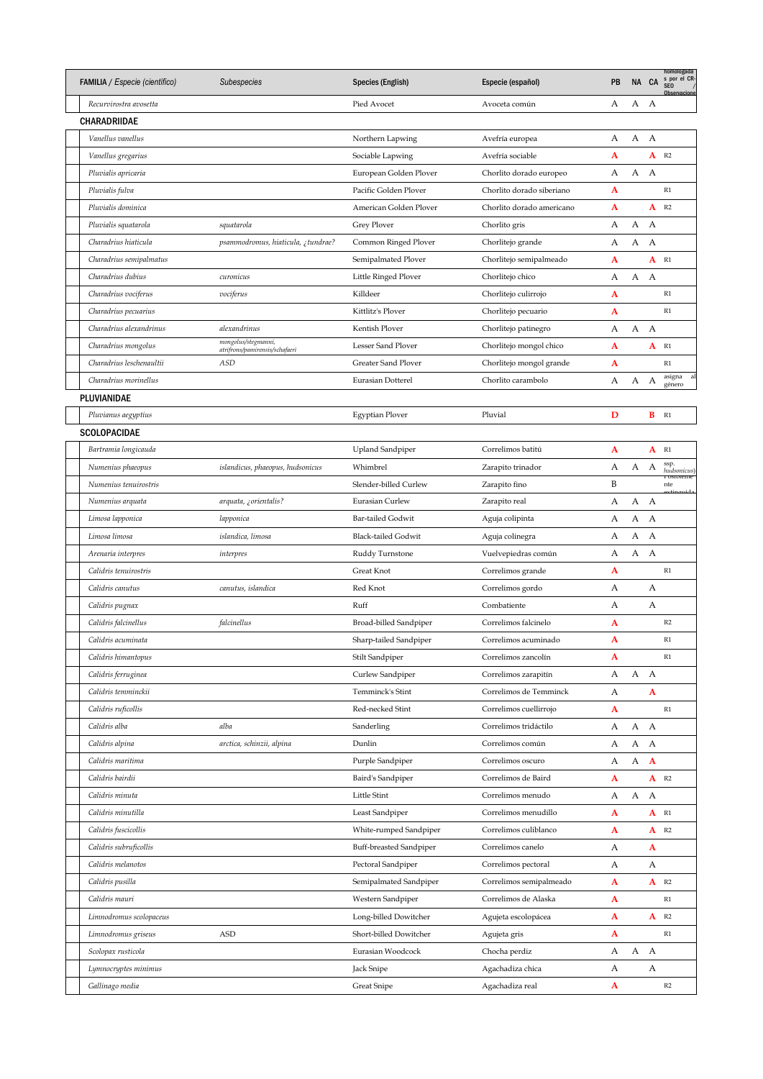| FAMILIA / Especie (científico) | Subespecies                                           | Species (English)          | Especie (español)         | PB |   | NA CA        | homologada<br>s por el CR-<br>SEO /<br>Observacione |
|--------------------------------|-------------------------------------------------------|----------------------------|---------------------------|----|---|--------------|-----------------------------------------------------|
| Recurvirostra avosetta         |                                                       | Pied Avocet                | Avoceta común             | А  | А | A            |                                                     |
| CHARADRIIDAE                   |                                                       |                            |                           |    |   |              |                                                     |
| Vanellus vanellus              |                                                       | Northern Lapwing           | Avefría europea           | А  | А | A            |                                                     |
| Vanellus gregarius             |                                                       | Sociable Lapwing           | Avefría sociable          | A  |   |              | $A$ R <sub>2</sub>                                  |
| Pluvialis apricaria            |                                                       | European Golden Plover     | Chorlito dorado europeo   | А  | А | А            |                                                     |
| Pluvialis fulva                |                                                       | Pacific Golden Plover      | Chorlito dorado siberiano | A  |   |              | R1                                                  |
| Pluvialis dominica             |                                                       | American Golden Plover     | Chorlito dorado americano | A  |   | A            | R2                                                  |
| Pluvialis squatarola           | squatarola                                            | Grey Plover                | Chorlito gris             | А  | А | А            |                                                     |
| Charadrius hiaticula           | psammodromus, hiaticula, ¿tundrae?                    | Common Ringed Plover       | Chorlitejo grande         | А  | А | А            |                                                     |
| Charadrius semipalmatus        |                                                       | Semipalmated Plover        | Chorlitejo semipalmeado   | A  |   | A            | R1                                                  |
| Charadrius dubius              | curonicus                                             | Little Ringed Plover       | Chorlitejo chico          | А  | А | А            |                                                     |
| Charadrius vociferus           | vociferus                                             | Killdeer                   | Chorlitejo culirrojo      | A  |   |              | R1                                                  |
| Charadrius pecuarius           |                                                       | Kittlitz's Plover          | Chorlitejo pecuario       | A  |   |              | R1                                                  |
| Charadrius alexandrinus        | alexandrinus                                          | Kentish Plover             | Chorlitejo patinegro      | А  | А | A            |                                                     |
| Charadrius mongolus            | mongolus/stegmanni,<br>atrifrons/pamirensis/schafaeri | Lesser Sand Plover         | Chorlitejo mongol chico   | A  |   | A            | R1                                                  |
| Charadrius leschenaultii       | ASD                                                   | Greater Sand Plover        | Chorlitejo mongol grande  | A  |   |              | R1                                                  |
| Charadrius morinellus          |                                                       | Eurasian Dotterel          | Chorlito carambolo        | А  | А | А            | asigna<br>al<br>género                              |
| PLUVIANIDAE                    |                                                       |                            |                           |    |   |              |                                                     |
| Pluvianus aegyptius            |                                                       | Egyptian Plover            | Pluvial                   | D  |   | В            | R1                                                  |
| <b>SCOLOPACIDAE</b>            |                                                       |                            |                           |    |   |              |                                                     |
| Bartramia longicauda           |                                                       | <b>Upland Sandpiper</b>    | Correlimos batitú         | A  |   | A            | R1                                                  |
| Numenius phaeopus              | islandicus, phaeopus, hudsonicus                      | Whimbrel                   | Zarapito trinador         | А  | А | А            | ssp.                                                |
| Numenius tenuirostris          |                                                       | Slender-billed Curlew      | Zarapito fino             | B  |   |              | hudsonicus)<br><b>Posibieme</b><br>nte              |
| Numenius arquata               | arquata, ¿orientalis?                                 | Eurasian Curlew            | Zarapito real             | А  | А | $\mathbf{A}$ |                                                     |
| Limosa lapponica               | lapponica                                             | Bar-tailed Godwit          | Aguja colipinta           | А  | А | А            |                                                     |
| Limosa limosa                  | islandica, limosa                                     | <b>Black-tailed Godwit</b> |                           | А  | А | А            |                                                     |
|                                |                                                       |                            | Aguja colinegra           |    |   | A            |                                                     |
| Arenaria interpres             | interpres                                             | Ruddy Turnstone            | Vuelvepiedras común       | А  | А |              | R1                                                  |
| Calidris tenuirostris          |                                                       | Great Knot                 | Correlimos grande         | A  |   |              |                                                     |
| Calidris canutus               | canutus, islandica                                    | Red Knot                   | Correlimos gordo          | А  |   | А            |                                                     |
| Calidris pugnax                |                                                       | Ruff                       | Combatiente               | А  |   | А            |                                                     |
| Calidris falcinellus           | falcinellus                                           | Broad-billed Sandpiper     | Correlimos falcinelo      | A  |   |              | R2                                                  |
| Calidris acuminata             |                                                       | Sharp-tailed Sandpiper     | Correlimos acuminado      | A  |   |              | R1                                                  |
| Calidris himantopus            |                                                       | Stilt Sandpiper            | Correlimos zancolín       | A  |   |              | R1                                                  |
| Calidris ferruginea            |                                                       | Curlew Sandpiper           | Correlimos zarapitín      | А  | А | A            |                                                     |
| Calidris temminckii            |                                                       | Temminck's Stint           | Correlimos de Temminck    | А  |   | A            |                                                     |
| Calidris ruficollis            |                                                       | Red-necked Stint           | Correlimos cuellirrojo    | A  |   |              | $\mathbb{R}1$                                       |
| Calidris alba                  | alba                                                  | Sanderling                 | Correlimos tridáctilo     | А  | А | A            |                                                     |
| Calidris alpina                | arctica, schinzii, alpina                             | Dunlin                     | Correlimos común          | А  | А | A            |                                                     |
| Calidris maritima              |                                                       | Purple Sandpiper           | Correlimos oscuro         | А  | А | $\mathbf{A}$ |                                                     |
| Calidris bairdii               |                                                       | Baird's Sandpiper          | Correlimos de Baird       | A  |   |              | $A$ R <sub>2</sub>                                  |
| Calidris minuta                |                                                       | Little Stint               | Correlimos menudo         | А  | А | A            |                                                     |
| Calidris minutilla             |                                                       | Least Sandpiper            | Correlimos menudillo      | A  |   |              | $A$ $R1$                                            |
| Calidris fuscicollis           |                                                       | White-rumped Sandpiper     | Correlimos culiblanco     | A  |   | A            | R2                                                  |
| Calidris subruficollis         |                                                       | Buff-breasted Sandpiper    | Correlimos canelo         | А  |   | A            |                                                     |
| Calidris melanotos             |                                                       | Pectoral Sandpiper         | Correlimos pectoral       | А  |   | А            |                                                     |
| Calidris pusilla               |                                                       | Semipalmated Sandpiper     | Correlimos semipalmeado   | A  |   |              | $A$ R <sub>2</sub>                                  |
| Calidris mauri                 |                                                       | Western Sandpiper          | Correlimos de Alaska      | A  |   |              | $\mathbb{R}1$                                       |
| Limnodromus scolopaceus        |                                                       | Long-billed Dowitcher      | Agujeta escolopácea       | A  |   | A            | R2                                                  |
| Limnodromus griseus            | ASD                                                   | Short-billed Dowitcher     | Agujeta gris              | A  |   |              | $\mathbb{R}1$                                       |
| Scolopax rusticola             |                                                       | Eurasian Woodcock          | Chocha perdiz             | А  | А | A            |                                                     |
| Lymnocryptes minimus           |                                                       | Jack Snipe                 | Agachadiza chica          | А  |   | А            |                                                     |
| Gallinago media                |                                                       | <b>Great Snipe</b>         | Agachadiza real           | A  |   |              | R2                                                  |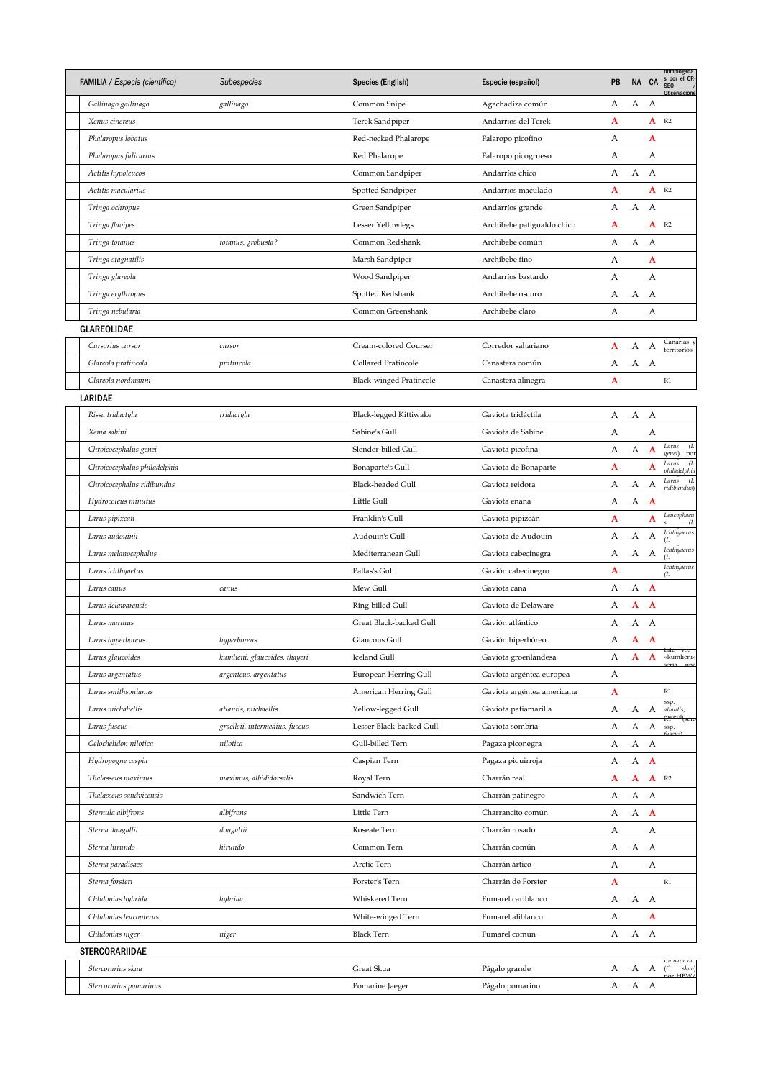| <b>FAMILIA</b> / Especie (científico) | Subespecies                    | Species (English)        | Especie (español)          | PB |   | NA CA        | homologada<br>s por el CR<br>SE <sub>0</sub><br>Observacione |
|---------------------------------------|--------------------------------|--------------------------|----------------------------|----|---|--------------|--------------------------------------------------------------|
| Gallinago gallinago                   | gallinago                      | Common Snipe             | Agachadiza común           | А  | А | А            |                                                              |
| Xenus cinereus                        |                                | Terek Sandpiper          | Andarríos del Terek        | A  |   | A            | R2                                                           |
| Phalaropus lobatus                    |                                | Red-necked Phalarope     | Falaropo picofino          | А  |   | A            |                                                              |
| Phalaropus fulicarius                 |                                | Red Phalarope            | Falaropo picogrueso        | А  |   | А            |                                                              |
| Actitis hypoleucos                    |                                | Common Sandpiper         | Andarríos chico            | А  | А | А            |                                                              |
| Actitis macularius                    |                                | Spotted Sandpiper        | Andarríos maculado         | A  |   | A            | R2                                                           |
| Tringa ochropus                       |                                | Green Sandpiper          | Andarríos grande           | А  | А | A            |                                                              |
| Tringa flavipes                       |                                | Lesser Yellowlegs        | Archibebe patigualdo chico | A  |   | A            | R2                                                           |
| Tringa totanus                        | totanus, ¿robusta?             | Common Redshank          | Archibebe común            | А  | А | А            |                                                              |
| Tringa stagnatilis                    |                                | Marsh Sandpiper          | Archibebe fino             | А  |   | A            |                                                              |
| Tringa glareola                       |                                | Wood Sandpiper           | Andarríos bastardo         | А  |   | А            |                                                              |
| Tringa erythropus                     |                                | Spotted Redshank         | Archibebe oscuro           | А  | А | А            |                                                              |
| Tringa nebularia                      |                                | Common Greenshank        | Archibebe claro            | А  |   | А            |                                                              |
| <b>GLAREOLIDAE</b>                    |                                |                          |                            |    |   |              |                                                              |
| Cursorius cursor                      | cursor                         | Cream-colored Courser    | Corredor sahariano         | A  | А | А            | Canarias                                                     |
| Glareola pratincola                   | pratincola                     | Collared Pratincole      | Canastera común            | А  | А | А            | territorios                                                  |
|                                       |                                |                          |                            |    |   |              | $\mathbb{R}1$                                                |
| Glareola nordmanni                    |                                | Black-winged Pratincole  | Canastera alinegra         | A  |   |              |                                                              |
| LARIDAE                               |                                |                          |                            |    |   |              |                                                              |
| Rissa tridactyla                      | tridactyla                     | Black-legged Kittiwake   | Gaviota tridáctila         | А  | А | $\mathbf{A}$ |                                                              |
| Xema sabini                           |                                | Sabine's Gull            | Gaviota de Sabine          | А  |   | А            | Larus<br>(L                                                  |
| Chroicocephalus genei                 |                                | Slender-billed Gull      | Gaviota picofina           | А  | А | $\mathbf{A}$ | genei)<br>por<br>(L<br>Larus                                 |
| Chroicocephalus philadelphia          |                                | Bonaparte's Gull         | Gaviota de Bonaparte       | A  |   | A            | philadelphia<br>Larus                                        |
| Chroicocephalus ridibundus            |                                | Black-headed Gull        | Gaviota reidora            | А  | А | А            | (L<br>ridibundus)                                            |
| Hydrocoleus minutus                   |                                | Little Gull              | Gaviota enana              | А  | А | A            |                                                              |
| Larus pipixcan                        |                                | Franklin's Gull          | Gaviota pipizcán           | A  |   | A            | Leucophaeu<br>(L<br>Ś                                        |
| Larus audouinii                       |                                | Audouin's Gull           | Gaviota de Audouin         | А  | А | А            | Ichthyaetus<br>(1,                                           |
| Larus melanocephalus                  |                                | Mediterranean Gull       | Gaviota cabecinegra        | А  | А | А            | <b>Ichthyaetus</b><br>(I.                                    |
| Larus ichthyaetus                     |                                | Pallas's Gull            | Gavión cabecinegro         | A  |   |              | <b>Ichthyaetus</b><br>a.                                     |
| Larus canus                           | canus                          | Mew Gull                 | Gaviota cana               | А  | А | $\mathbf A$  |                                                              |
| Larus delawarensis                    |                                | Ring-billed Gull         | Gaviota de Delaware        | А  | A | A            |                                                              |
| Larus marinus                         |                                | Great Black-backed Gull  | Gavión atlántico           | А  | А | А            |                                                              |
| Larus hyperboreus                     | hyperboreus                    | Glaucous Gull            | Gavión hiperbóreo          | А  | A | A            |                                                              |
| Larus glaucoides                      | kumlieni, glaucoides, thayeri  | <b>Iceland Gull</b>      | Gaviota groenlandesa       | А  | A | $\mathbf{A}$ | Life<br>«kumlieni»                                           |
| Larus argentatus                      | argenteus, argentatus          | European Herring Gull    | Gaviota argéntea europea   | А  |   |              |                                                              |
| Larus smithsonianus                   |                                | American Herring Gull    | Gaviota argéntea americana | A  |   |              | $\mathbb{R}1$                                                |
| Larus michahellis                     | atlantis, michaellis           | Yellow-legged Gull       | Gaviota patiamarilla       | А  | А | А            | atlantis,                                                    |
| Larus fuscus                          | graellsii, intermedius, fuscus | Lesser Black-backed Gull | Gaviota sombría            | А  | А | А            | nt <sub>soro</sub><br>۴Ť<br>ssp.                             |
| Gelochelidon nilotica                 | nilotica                       | Gull-billed Tern         | Pagaza piconegra           | А  | А | A            |                                                              |
| Hydropogne caspia                     |                                | Caspian Tern             | Pagaza piquirroja          | А  | А | $\mathbf{A}$ |                                                              |
| Thalasseus maximus                    | maximus, albididorsalis        | Royal Tern               | Charrán real               | A  | A | ${\bf A}$    | R2                                                           |
| Thalasseus sandvicensis               |                                | Sandwich Tern            | Charrán patinegro          | А  | А | А            |                                                              |
| Sternula albifrons                    | albifrons                      | Little Tern              | Charrancito común          | А  | А | $\mathbf{A}$ |                                                              |
| Sterna dougallii                      | dougallii                      | Roseate Tern             | Charrán rosado             | А  |   | А            |                                                              |
| Sterna hirundo                        | hirundo                        | Common Tern              | Charrán común              | А  | А | A            |                                                              |
| Sterna paradisaea                     |                                | Arctic Tern              | Charrán ártico             | А  |   | А            |                                                              |
| Sterna forsteri                       |                                | Forster's Tern           | Charrán de Forster         | A  |   |              | $\mathbb{R}1$                                                |
| Chlidonias hybrida                    | hybrida                        | Whiskered Tern           | Fumarel cariblanco         | А  | А | $\mathbf{A}$ |                                                              |
|                                       |                                | White-winged Tern        | Fumarel aliblanco          | А  |   | A            |                                                              |
| Chlidonias leucopterus                |                                |                          |                            |    |   |              |                                                              |
| Chlidonias niger                      | niger                          | <b>Black Tern</b>        | Fumarel común              | А  | А | A            |                                                              |
| STERCORARIIDAE                        |                                |                          |                            |    |   |              | Catharacta                                                   |
| Stercorarius skua                     |                                | Great Skua               | Págalo grande              | А  | А |              | A (C.<br>skua)<br>$\alpha r$ HRW                             |
| Stercorarius pomarinus                |                                | Pomarine Jaeger          | Págalo pomarino            | А  | А | A            |                                                              |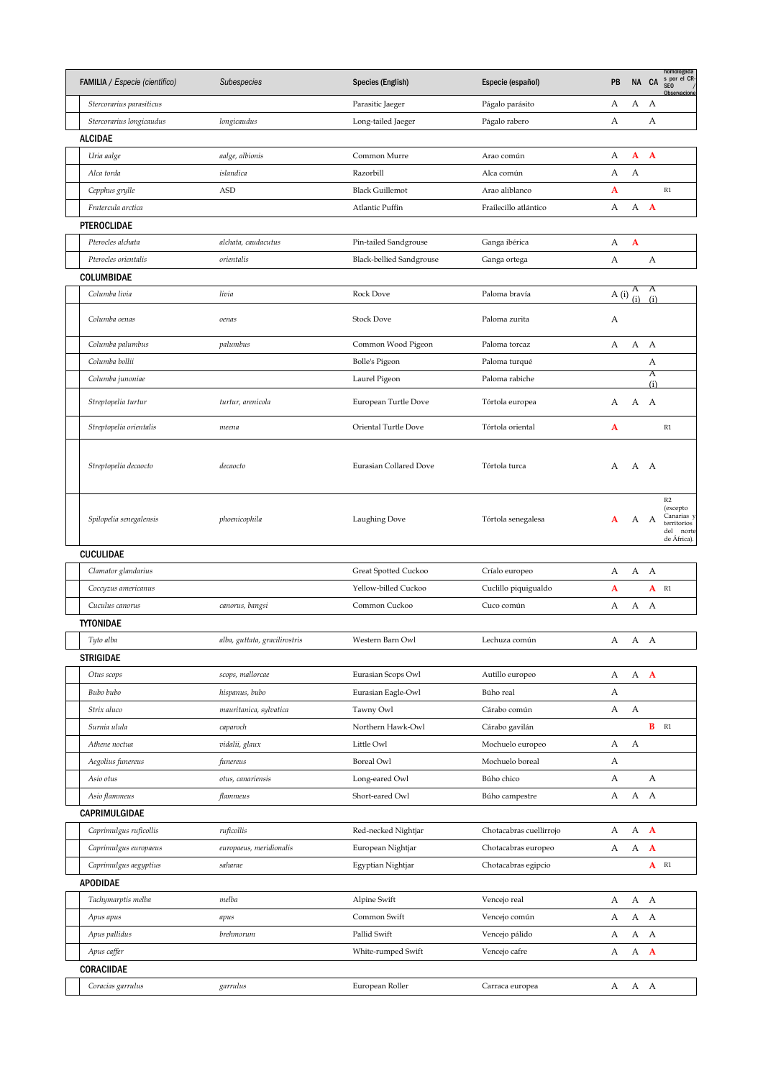| FAMILIA / Especie (científico) | Subespecies                   | Species (English)               | Especie (español)       | PB   |          | NA CA        | homologada<br>s por el CR-<br>SEO /<br>Observacione                     |
|--------------------------------|-------------------------------|---------------------------------|-------------------------|------|----------|--------------|-------------------------------------------------------------------------|
| Stercorarius parasiticus       |                               | Parasitic Jaeger                | Págalo parásito         | А    | А        | А            |                                                                         |
| Stercorarius longicaudus       | longicaudus                   | Long-tailed Jaeger              | Págalo rabero           | А    |          | А            |                                                                         |
| <b>ALCIDAE</b>                 |                               |                                 |                         |      |          |              |                                                                         |
| Uria aalge                     | aalge, albionis               | Common Murre                    | Arao común              | А    | A        | $\mathbf{A}$ |                                                                         |
| Alca torda                     | islandica                     | Razorbill                       | Alca común              | А    | А        |              |                                                                         |
| Cepphus grylle                 | <b>ASD</b>                    | <b>Black Guillemot</b>          | Arao aliblanco          | A    |          |              | R1                                                                      |
| Fratercula arctica             |                               | Atlantic Puffin                 | Frailecillo atlántico   | А    | А        | $\mathbf{A}$ |                                                                         |
| PTEROCLIDAE                    |                               |                                 |                         |      |          |              |                                                                         |
| Pterocles alchata              | alchata, caudacutus           | Pin-tailed Sandgrouse           | Ganga ibérica           | А    | A        |              |                                                                         |
| Pterocles orientalis           | orientalis                    | <b>Black-bellied Sandgrouse</b> | Ganga ortega            | А    |          | А            |                                                                         |
| COLUMBIDAE                     |                               |                                 |                         |      |          |              |                                                                         |
| Columba livia                  | livia                         | Rock Dove                       | Paloma bravía           | A(i) | A<br>(i) | A<br>(i)     |                                                                         |
| Columba oenas                  | oenas                         | <b>Stock Dove</b>               | Paloma zurita           | А    |          |              |                                                                         |
| Columba palumbus               | palumbus                      | Common Wood Pigeon              | Paloma torcaz           | А    | А        | A            |                                                                         |
| Columba bollii                 |                               | <b>Bolle's Pigeon</b>           | Paloma turqué           |      |          | А            |                                                                         |
| Columba junoniae               |                               | Laurel Pigeon                   | Paloma rabiche          |      |          | Α<br>(i)     |                                                                         |
| Streptopelia turtur            | turtur, arenicola             | European Turtle Dove            | Tórtola europea         | А    | A A      |              |                                                                         |
| Streptopelia orientalis        | meena                         | Oriental Turtle Dove            | Tórtola oriental        | A    |          |              | R1                                                                      |
| Streptopelia decaocto          | decaocto                      | Eurasian Collared Dove          | Tórtola turca           | A    | A A      |              |                                                                         |
| Spilopelia senegalensis        | phoenicophila                 | Laughing Dove                   | Tórtola senegalesa      | A    | A A      |              | R2<br>(excepto<br>Canarias y<br>territorios<br>del norte<br>de África). |
| CUCULIDAE                      |                               |                                 |                         |      |          |              |                                                                         |
| Clamator glandarius            |                               | Great Spotted Cuckoo            | Críalo europeo          | А    | A A      |              |                                                                         |
| Coccyzus americanus            |                               | Yellow-billed Cuckoo            | Cuclillo piquigualdo    | A    |          |              | $A$ R <sub>1</sub>                                                      |
| Cuculus canorus                | canorus, bangsi               | Common Cuckoo                   | Cuco común              | А    | А        | A            |                                                                         |
| <b>TYTONIDAE</b>               |                               |                                 |                         |      |          |              |                                                                         |
| Tyto alba                      | alba, guttata, gracilirostris | Western Barn Owl                | Lechuza común           |      | A A A    |              |                                                                         |
| STRIGIDAE                      |                               |                                 |                         |      |          |              |                                                                         |
| Otus scops                     | scops, mallorcae              | Eurasian Scops Owl              | Autillo europeo         | А    | A A      |              |                                                                         |
| Bubo bubo                      | hispanus, bubo                | Eurasian Eagle-Owl              | Búho real               | А    |          |              |                                                                         |
| Strix aluco                    | mauritanica, sylvatica        | Tawny Owl                       | Cárabo común            | А    | А        |              |                                                                         |
| Surnia ulula                   | caparoch                      | Northern Hawk-Owl               | Cárabo gavilán          |      |          |              | $B$ R1                                                                  |
| Athene noctua                  | vidalii, glaux                | Little Owl                      | Mochuelo europeo        | А    | А        |              |                                                                         |
| Aegolius funereus              | funereus                      | Boreal Owl                      | Mochuelo boreal         | А    |          |              |                                                                         |
| Asio otus                      | otus, canariensis             | Long-eared Owl                  | Búho chico              | А    |          | А            |                                                                         |
| Asio flammeus                  | flammeus                      | Short-eared Owl                 | Búho campestre          | А    | А        | A            |                                                                         |
| CAPRIMULGIDAE                  |                               |                                 |                         |      |          |              |                                                                         |
| Caprimulgus ruficollis         | ruficollis                    | Red-necked Nightjar             | Chotacabras cuellirrojo | А    | А        | $\mathbf{A}$ |                                                                         |
| Caprimulgus europaeus          | europaeus, meridionalis       | European Nightjar               | Chotacabras europeo     | А    | А        | $\mathbf{A}$ |                                                                         |
| Caprimulgus aegyptius          | saharae                       | Egyptian Nightjar               | Chotacabras egipcio     |      |          |              | $A$ R <sub>1</sub>                                                      |
| APODIDAE                       |                               |                                 |                         |      |          |              |                                                                         |
| Tachymarptis melba             | melba                         | Alpine Swift                    | Vencejo real            | А    | А        | A            |                                                                         |
| Apus apus                      | apus                          | Common Swift                    | Vencejo común           | А    | А        | A            |                                                                         |
| Apus pallidus                  | brehmorum                     | Pallid Swift                    | Vencejo pálido          | А    | А        | A            |                                                                         |
| Apus caffer                    |                               | White-rumped Swift              | Vencejo cafre           | А    | А        | $\mathbf{A}$ |                                                                         |
| CORACIIDAE                     |                               |                                 |                         |      |          |              |                                                                         |
| Coracias garrulus              | garrulus                      | European Roller                 | Carraca europea         | А    |          | A A          |                                                                         |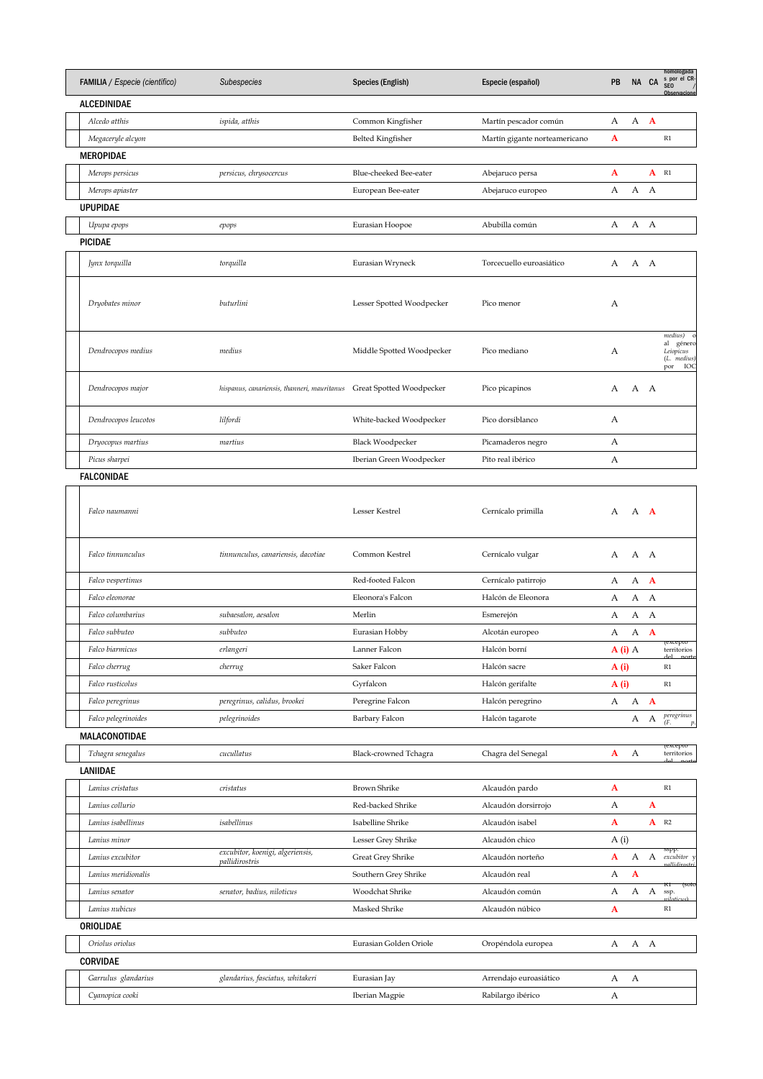| FAMILIA / Especie (científico) | Subespecies                                        | Species (English)         | Especie (español)             | PB       |              | NA CA              | homologada<br>s por el CR-<br>SEO /<br>Observacione            |
|--------------------------------|----------------------------------------------------|---------------------------|-------------------------------|----------|--------------|--------------------|----------------------------------------------------------------|
| ALCEDINIDAE                    |                                                    |                           |                               |          |              |                    |                                                                |
| Alcedo atthis                  | ispida, atthis                                     | Common Kingfisher         | Martín pescador común         | А        | А            | $\mathbf{A}$       |                                                                |
| Megaceryle alcyon              |                                                    | <b>Belted Kingfisher</b>  | Martín gigante norteamericano | A        |              |                    | R1                                                             |
| <b>MEROPIDAE</b>               |                                                    |                           |                               |          |              |                    |                                                                |
| Merops persicus                | persicus, chrysocercus                             | Blue-cheeked Bee-eater    | Abejaruco persa               | A        |              | $A$ R <sub>1</sub> |                                                                |
| Merops apiaster                |                                                    | European Bee-eater        | Abejaruco europeo             | А        | А            | A                  |                                                                |
| <b>UPUPIDAE</b>                |                                                    |                           |                               |          |              |                    |                                                                |
| Upupa epops                    | epops                                              | Eurasian Hoopoe           | Abubilla común                | А        | А            | A                  |                                                                |
| <b>PICIDAE</b>                 |                                                    |                           |                               |          |              |                    |                                                                |
| Jynx torquilla                 | torquilla                                          | Eurasian Wryneck          | Torcecuello euroasiático      | А        | A A          |                    |                                                                |
| Dryobates minor                | buturlini                                          | Lesser Spotted Woodpecker | Pico menor                    | А        |              |                    |                                                                |
| Dendrocopos medius             | medius                                             | Middle Spotted Woodpecker | Pico mediano                  | А        |              |                    | medius)<br>al género<br>Leiopicus<br>(L. medius)<br>por<br>IOC |
| Dendrocopos major              | hispanus, canariensis, thanneri, mauritanus        | Great Spotted Woodpecker  | Pico picapinos                | А        | A A          |                    |                                                                |
| Dendrocopos leucotos           | lilfordi                                           | White-backed Woodpecker   | Pico dorsiblanco              | А        |              |                    |                                                                |
| Dryocopus martius              | martius                                            | <b>Black Woodpecker</b>   | Picamaderos negro             | А        |              |                    |                                                                |
| Picus sharpei                  |                                                    | Iberian Green Woodpecker  | Pito real ibérico             | А        |              |                    |                                                                |
| <b>FALCONIDAE</b>              |                                                    |                           |                               |          |              |                    |                                                                |
| Falco naumanni                 |                                                    | Lesser Kestrel            | Cernícalo primilla            | A        | A <b>A</b>   |                    |                                                                |
| Falco tinnunculus              | tinnunculus, canariensis, dacotiae                 | Common Kestrel            | Cernícalo vulgar              | А        | A A          |                    |                                                                |
| Falco vespertinus              |                                                    | Red-footed Falcon         | Cernícalo patirrojo           | А        | А            | $\mathbf{A}$       |                                                                |
| Falco eleonorae                |                                                    | Eleonora's Falcon         | Halcón de Eleonora            | А        | А            | A                  |                                                                |
| Falco columbarius              | subaesalon, aesalon                                | Merlin                    | Esmerejón                     | А        | А            | A                  |                                                                |
| Falco subbuteo                 | subbuteo                                           | Eurasian Hobby            | Alcotán europeo               | А        | А            | $\mathbf{A}$       |                                                                |
| Falco biarmicus                | erlangeri                                          | Lanner Falcon             | Halcón borní                  | $A(i)$ A |              |                    | territorios                                                    |
| Falco cherrug                  | cherrug                                            | Saker Falcon              | Halcón sacre                  | A(i)     |              |                    | R1                                                             |
| Falco rusticolus               |                                                    | Gyrfalcon                 | Halcón gerifalte              | A(i)     |              |                    | R1                                                             |
| Falco peregrinus               | peregrinus, calidus, brookei                       | Peregrine Falcon          | Halcón peregrino              | А        | $\mathbf{A}$ | $\mathbf{A}$       |                                                                |
| Falco pelegrinoides            | pelegrinoides                                      | Barbary Falcon            | Halcón tagarote               |          | А            | А                  | peregrinus<br>(F.<br>$\boldsymbol{p}$                          |
| MALACONOTIDAE                  |                                                    |                           |                               |          |              |                    |                                                                |
| Tchagra senegalus              | cucullatus                                         | Black-crowned Tchagra     | Chagra del Senegal            | A        | А            |                    | (ехсерто<br>territorios                                        |
| LANIIDAE                       |                                                    |                           |                               |          |              |                    |                                                                |
| Lanius cristatus               | cristatus                                          | <b>Brown Shrike</b>       | Alcaudón pardo                | A        |              |                    | R1                                                             |
| Lanius collurio                |                                                    | Red-backed Shrike         | Alcaudón dorsirrojo           | А        |              | $\mathbf{A}$       |                                                                |
| Lanius isabellinus             | isabellinus                                        | Isabelline Shrike         | Alcaudón isabel               | A        |              |                    | $A$ R <sub>2</sub>                                             |
| Lanius minor                   |                                                    | Lesser Grey Shrike        | Alcaudón chico                | A(i)     |              |                    |                                                                |
| Lanius excubitor               | excubitor, koenigi, algeriensis,<br>pallidirostris | <b>Great Grey Shrike</b>  | Alcaudón norteño              | A        | А            | А                  | sspp<br>excubitor y                                            |
| Lanius meridionalis            |                                                    | Southern Grey Shrike      | Alcaudón real                 | А        | $\mathbf{A}$ |                    |                                                                |
| Lanius senator                 | senator, badius, niloticus                         | Woodchat Shrike           | Alcaudón común                | А        | А            | А                  | KΙ<br><b>ISOIC</b><br>ssp.                                     |
| Lanius nubicus                 |                                                    | Masked Shrike             | Alcaudón núbico               | A        |              |                    | $\mathbb{R}1$                                                  |
| ORIOLIDAE                      |                                                    |                           |                               |          |              |                    |                                                                |
| Oriolus oriolus                |                                                    | Eurasian Golden Oriole    | Oropéndola europea            | А        | А            | A                  |                                                                |
| <b>CORVIDAE</b>                |                                                    |                           |                               |          |              |                    |                                                                |
| Garrulus glandarius            | glandarius, fasciatus, whitakeri                   | Eurasian Jay              | Arrendajo euroasiático        | А        | А            |                    |                                                                |
| Cyanopica cooki                |                                                    | Iberian Magpie            | Rabilargo ibérico             | А        |              |                    |                                                                |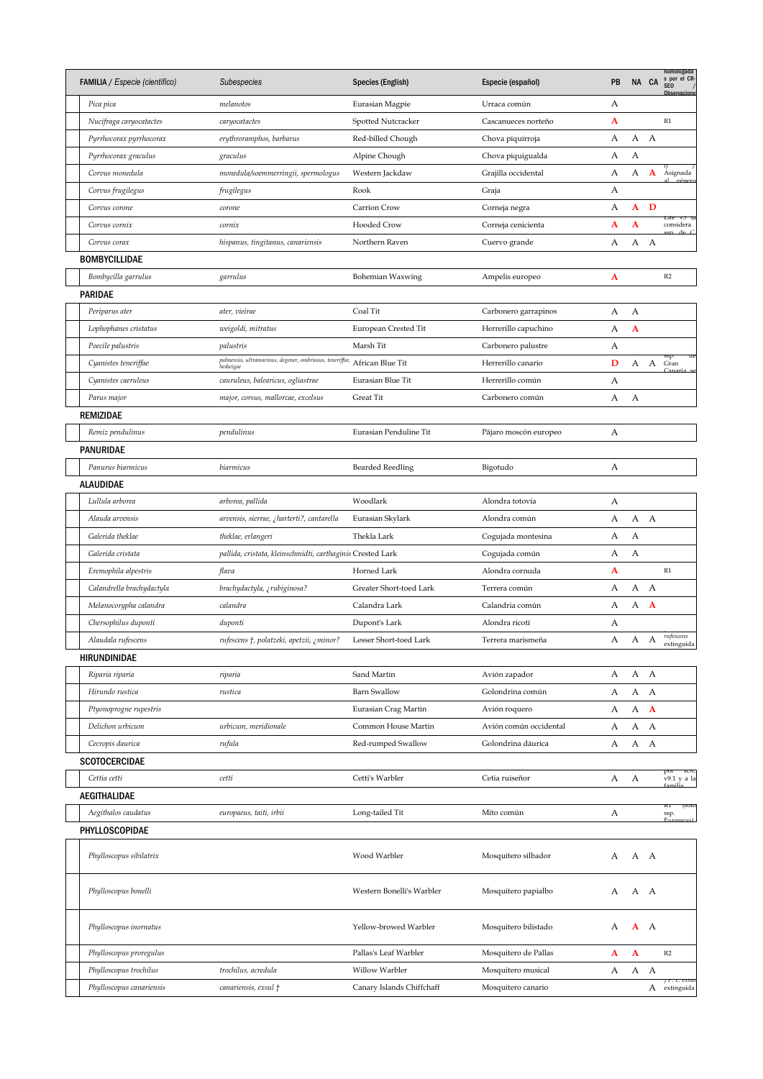| FAMILIA / Especie (científico) | Subespecies                                                | Species (English)         | Especie (español)      | PB |              | NA CA        | homologada<br>s por el CR-<br>SEO /<br>Observacione |
|--------------------------------|------------------------------------------------------------|---------------------------|------------------------|----|--------------|--------------|-----------------------------------------------------|
| Pica pica                      | melanotos                                                  | Eurasian Magpie           | Urraca común           | А  |              |              |                                                     |
| Nucifraga caryocatactes        | caryocatactes                                              | Spotted Nutcracker        | Cascanueces norteño    | A  |              |              | R1                                                  |
| Pyrrhocorax pyrrhocorax        | erythroramphos, barbarus                                   | Red-billed Chough         | Chova piquirroja       | А  | А            | $\mathbf{A}$ |                                                     |
| Pyrrhocorax graculus           | graculus                                                   | Alpine Chough             | Chova piquigualda      | А  | А            |              |                                                     |
| Corvus monedula                | monedula/soemmerringii, spermologus                        | Western Jackdaw           | Grajilla occidental    | А  | А            | $\mathbf{A}$ | Asignada                                            |
| Corvus frugilegus              | frugilegus                                                 | Rook                      | Graja                  | А  |              |              |                                                     |
| Corvus corone                  | corone                                                     | Carrion Crow              | Corneja negra          | А  | ${\bf A}$    | $\mathbf D$  |                                                     |
| Corvus cornix                  | cornix                                                     | Hooded Crow               | Corneja cenicienta     | A  | A            |              | Life V5<br>considera                                |
| Corvus corax                   | hispanus, tingitanus, canariensis                          | Northern Raven            | Cuervo grande          | А  | А            | А            |                                                     |
| BOMBYCILLIDAE                  |                                                            |                           |                        |    |              |              |                                                     |
| Bombycilla garrulus            | garrulus                                                   | Bohemian Waxwing          | Ampelis europeo        | A  |              |              | R2                                                  |
| PARIDAE                        |                                                            |                           |                        |    |              |              |                                                     |
| Periparus ater                 | ater, vieirae                                              | Coal Tit                  | Carbonero garrapinos   | А  | А            |              |                                                     |
| Lophophanes cristatus          | weigoldi, mitratus                                         | European Crested Tit      | Herrerillo capuchino   | А  | $\mathbf{A}$ |              |                                                     |
| Poecile palustris              | palustris                                                  | Marsh Tit                 | Carbonero palustre     | А  |              |              |                                                     |
| Cyanistes teneriffae           | palmensis, ultramarinus, degener, ombriosus, teneriffae,   | African Blue Tit          | Herrerillo canario     | D  | А            | A            | ssp.<br>Gran                                        |
|                                | hedwigae                                                   |                           |                        |    |              |              |                                                     |
| Cyanistes caeruleus            | cauruleus, balearicus, ogliastrae                          | Eurasian Blue Tit         | Herrerillo común       | А  |              |              |                                                     |
| Parus major                    | major, corsus, mallorcae, excelsus                         | <b>Great Tit</b>          | Carbonero común        | А  | А            |              |                                                     |
| REMIZIDAE                      |                                                            |                           |                        |    |              |              |                                                     |
| Remiz pendulinus               | pendulinus                                                 | Eurasian Penduline Tit    | Pájaro moscón europeo  | А  |              |              |                                                     |
| PANURIDAE                      |                                                            |                           |                        |    |              |              |                                                     |
| Panurus biarmicus              | biarmicus                                                  | <b>Bearded Reedling</b>   | Bigotudo               | А  |              |              |                                                     |
| ALAUDIDAE                      |                                                            |                           |                        |    |              |              |                                                     |
| Lullula arborea                | arborea, pallida                                           | Woodlark                  | Alondra totovía        | А  |              |              |                                                     |
| Alauda arvensis                | arvensis, sierrae, ¿harterti?, cantarella                  | Eurasian Skylark          | Alondra común          | А  | А            | A            |                                                     |
| Galerida theklae               | theklae, erlangeri                                         | Thekla Lark               | Cogujada montesina     | А  | А            |              |                                                     |
| Galerida cristata              | pallida, cristata, kleinschmidti, carthaginis Crested Lark |                           | Cogujada común         | А  | А            |              |                                                     |
| Eremophila alpestris           | flava                                                      | Horned Lark               | Alondra cornuda        | A  |              |              | R1                                                  |
| Calandrella brachydactyla      | brachydactyla, ¿rubiginosa?                                | Greater Short-toed Lark   | Terrera común          | А  | А            | A            |                                                     |
| Melanocorypha calandra         | calandra                                                   | Calandra Lark             | Calandria común        | А  | А            | $\mathbf{A}$ |                                                     |
| Chersophilus duponti           | duponti                                                    | Dupont's Lark             | Alondra ricotí         | А  |              |              |                                                     |
| Alaudala rufescens             | rufescens †, polatzeki, apetzii, ¿minor?                   | Lesser Short-toed Lark    | Terrera marismeña      | A  | A            | A            | rufescens<br>extinguida                             |
| HIRUNDINIDAE                   |                                                            |                           |                        |    |              |              |                                                     |
| Riparia riparia                | riparia                                                    | Sand Martin               | Avión zapador          | А  | А            | $\mathbf{A}$ |                                                     |
| Hirundo rustica                | rustica                                                    | <b>Barn Swallow</b>       | Golondrina común       | А  | А            | А            |                                                     |
| Ptyonoprogne rupestris         |                                                            | Eurasian Crag Martin      | Avión roquero          | А  | А            | $\mathbf{A}$ |                                                     |
| Delichon urbicum               | urbicum, meridionale                                       | Common House Martin       | Avión común occidental | А  | А            | А            |                                                     |
| Cecropis daurica               | rufula                                                     | Red-rumped Swallow        | Golondrina dáurica     | А  | A            | $\mathbf{A}$ |                                                     |
| SCOTOCERCIDAE                  |                                                            |                           |                        |    |              |              |                                                     |
| Cettia cetti                   |                                                            | Cetti's Warbler           | Cetia ruiseñor         | А  |              |              | por<br>-100<br>v9.1 y a la                          |
|                                | cetti                                                      |                           |                        |    | А            |              |                                                     |
| AEGITHALIDAE                   |                                                            |                           |                        |    |              |              | кт<br><b>ISOIC</b>                                  |
| Aegithalos caudatus            | europaeus, taiti, irbii                                    | Long-tailed Tit           | Mito común             | А  |              |              | ssp.                                                |
| PHYLLOSCOPIDAE                 |                                                            |                           |                        |    |              |              |                                                     |
| Phylloscopus sibilatrix        |                                                            | Wood Warbler              | Mosquitero silbador    | А  |              | A A          |                                                     |
|                                |                                                            |                           |                        |    |              |              |                                                     |
| Phylloscopus bonelli           |                                                            | Western Bonelli's Warbler | Mosquitero papialbo    | А  | А            | A            |                                                     |
| Phylloscopus inornatus         |                                                            | Yellow-browed Warbler     | Mosquitero bilistado   | А  | $A \ A$      |              |                                                     |
| Phylloscopus proregulus        |                                                            | Pallas's Leaf Warbler     | Mosquitero de Pallas   | A  | A            |              | R2                                                  |
| Phylloscopus trochilus         | trochilus, acredula                                        | Willow Warbler            | Mosquitero musical     | А  | А            | A            |                                                     |
| Phylloscopus canariensis       | canariensis, exsul †                                       | Canary Islands Chiffchaff | Mosquitero canario     |    |              | А            | / P. C. exsut<br>extinguida                         |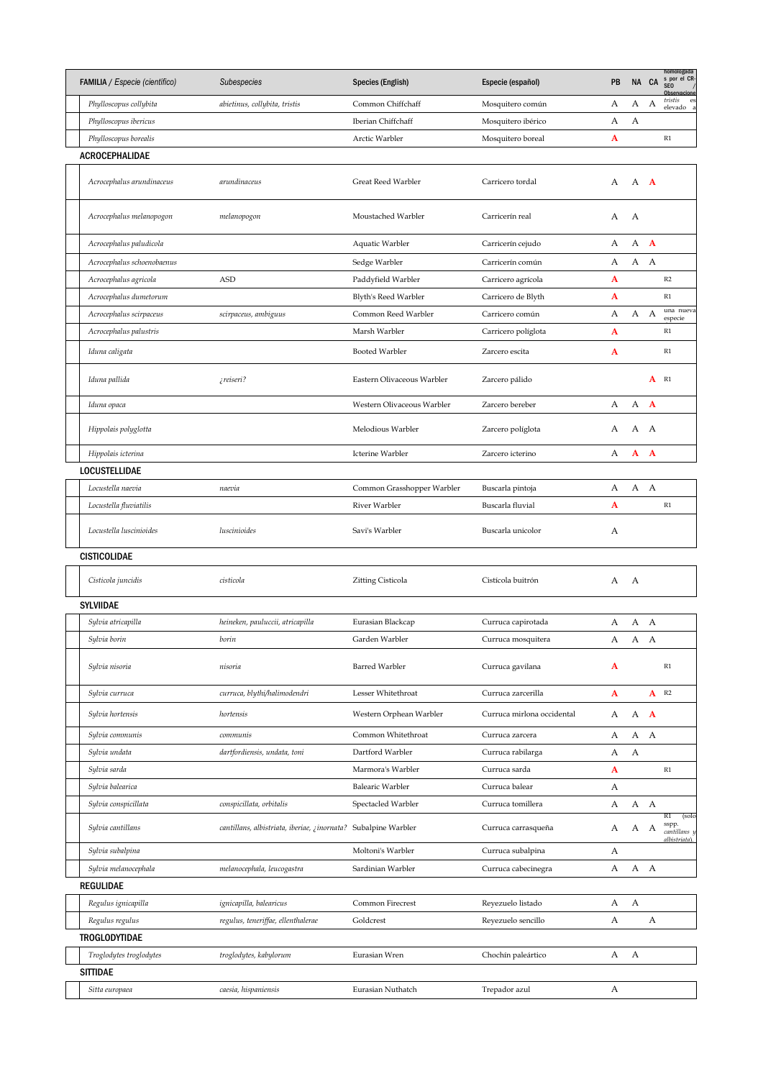| FAMILIA / Especie (científico) | Subespecies                                                    | Species (English)          | Especie (español)          | PB | NA CA      |              | homologada<br>s por el CR<br><b>SEO</b><br>Observacione |
|--------------------------------|----------------------------------------------------------------|----------------------------|----------------------------|----|------------|--------------|---------------------------------------------------------|
| Phylloscopus collybita         | abietinus, collybita, tristis                                  | Common Chiffchaff          | Mosquitero común           | А  | А          | А            | tristis<br>es<br>elevado a                              |
| Phylloscopus ibericus          |                                                                | Iberian Chiffchaff         | Mosquitero ibérico         | А  | А          |              |                                                         |
| Phylloscopus borealis          |                                                                | Arctic Warbler             | Mosquitero boreal          | A  |            |              | $\mathbb{R}1$                                           |
| <b>ACROCEPHALIDAE</b>          |                                                                |                            |                            |    |            |              |                                                         |
| Acrocephalus arundinaceus      | arundinaceus                                                   | Great Reed Warbler         | Carricero tordal           | A  | A <b>A</b> |              |                                                         |
| Acrocephalus melanopogon       | melanopogon                                                    | Moustached Warbler         | Carricerín real            | А  | A          |              |                                                         |
| Acrocephalus paludicola        |                                                                | Aquatic Warbler            | Carricerín cejudo          | А  | А          | $\mathbf{A}$ |                                                         |
| Acrocephalus schoenobaenus     |                                                                | Sedge Warbler              | Carricerín común           | А  | А          | A            |                                                         |
| Acrocephalus agricola          | <b>ASD</b>                                                     | Paddyfield Warbler         | Carricero agrícola         | A  |            |              | R2                                                      |
| Acrocephalus dumetorum         |                                                                | Blyth's Reed Warbler       | Carricero de Blyth         | A  |            |              | R1                                                      |
| Acrocephalus scirpaceus        | scirpaceus, ambiguus                                           | Common Reed Warbler        | Carricero común            | А  | А          | А            | una nueva<br>especie                                    |
| Acrocephalus palustris         |                                                                | Marsh Warbler              | Carricero políglota        | A  |            |              | $\mathbb{R}1$                                           |
| Iduna caligata                 |                                                                | <b>Booted Warbler</b>      | Zarcero escita             | A  |            |              | $\mathbb{R}1$                                           |
| Iduna pallida                  | ¿reiseri?                                                      | Eastern Olivaceous Warbler | Zarcero pálido             |    |            | A            | R1                                                      |
| Iduna opaca                    |                                                                | Western Olivaceous Warbler | Zarcero bereber            | А  | А          | $\mathbf{A}$ |                                                         |
| Hippolais polyglotta           |                                                                | Melodious Warbler          | Zarcero políglota          | А  | А          | A            |                                                         |
| Hippolais icterina             |                                                                | Icterine Warbler           | Zarcero icterino           | А  | A          | $\mathbf{A}$ |                                                         |
| <b>LOCUSTELLIDAE</b>           |                                                                |                            |                            |    |            |              |                                                         |
| Locustella naevia              | naevia                                                         | Common Grasshopper Warbler | Buscarla pintoja           | А  | А          | $\mathbf{A}$ |                                                         |
| Locustella fluviatilis         |                                                                | River Warbler              | Buscarla fluvial           | A  |            |              | R1                                                      |
| Locustella luscinioides        | luscinioides                                                   | Savi's Warbler             | Buscarla unicolor          | А  |            |              |                                                         |
| <b>CISTICOLIDAE</b>            |                                                                |                            |                            |    |            |              |                                                         |
| Cisticola juncidis             | cisticola                                                      | Zitting Cisticola          | Cistícola buitrón          | А  | A          |              |                                                         |
| <b>SYLVIIDAE</b>               |                                                                |                            |                            |    |            |              |                                                         |
| Sylvia atricapilla             | heineken, pauluccii, atricapilla                               | Eurasian Blackcap          | Curruca capirotada         | A  | A A        |              |                                                         |
| Sylvia borin                   | borin                                                          | Garden Warbler             | Curruca mosquitera         | A  | А          | А            |                                                         |
| Sylvia nisoria                 | nisoria                                                        | <b>Barred Warbler</b>      | Curruca gavilana           | A  |            |              | R1                                                      |
| Sylvia curruca                 | curruca, blythi/halimodendri                                   | Lesser Whitethroat         | Curruca zarcerilla         | A  |            |              | $A$ R <sub>2</sub>                                      |
| Sylvia hortensis               | hortensis                                                      | Western Orphean Warbler    | Curruca mirlona occidental | А  | A          | $\mathbf{A}$ |                                                         |
| Sylvia communis                | communis                                                       | Common Whitethroat         | Curruca zarcera            | А  | А          | $\mathbf{A}$ |                                                         |
| Sylvia undata                  | dartfordiensis, undata, toni                                   | Dartford Warbler           | Curruca rabilarga          | А  | А          |              |                                                         |
| Sylvia sarda                   |                                                                | Marmora's Warbler          | Curruca sarda              | A  |            |              | $\mathbb{R}1$                                           |
| Sylvia balearica               |                                                                | <b>Balearic Warbler</b>    | Curruca balear             | А  |            |              |                                                         |
| Sylvia conspicillata           | conspicillata, orbitalis                                       | Spectacled Warbler         | Curruca tomillera          | А  | A A        |              |                                                         |
|                                |                                                                |                            |                            |    |            |              | R1<br>(solo                                             |
| Sylvia cantillans              | cantillans, albistriata, iberiae, ¿inornata? Subalpine Warbler |                            | Curruca carrasqueña        | А  | A A        |              | sspp.<br>cantillans y<br>albistriata).                  |
| Sylvia subalpina               |                                                                | Moltoni's Warbler          | Curruca subalpina          | А  |            |              |                                                         |
| Sylvia melanocephala           | melanocephala, leucogastra                                     | Sardinian Warbler          | Curruca cabecinegra        | А  | A A        |              |                                                         |
| REGULIDAE                      |                                                                |                            |                            |    |            |              |                                                         |
| Regulus ignicapilla            | ignicapilla, balearicus                                        | Common Firecrest           | Reyezuelo listado          | А  | А          |              |                                                         |
| Regulus regulus                | regulus, teneriffae, ellenthalerae                             | Goldcrest                  | Reyezuelo sencillo         | А  |            | А            |                                                         |
| <b>TROGLODYTIDAE</b>           |                                                                |                            |                            |    |            |              |                                                         |
| Troglodytes troglodytes        | troglodytes, kabylorum                                         | Eurasian Wren              | Chochín paleártico         | А  | А          |              |                                                         |
| <b>SITTIDAE</b>                |                                                                |                            |                            |    |            |              |                                                         |
| Sitta europaea                 | caesia, hispaniensis                                           | Eurasian Nuthatch          | Trepador azul              | А  |            |              |                                                         |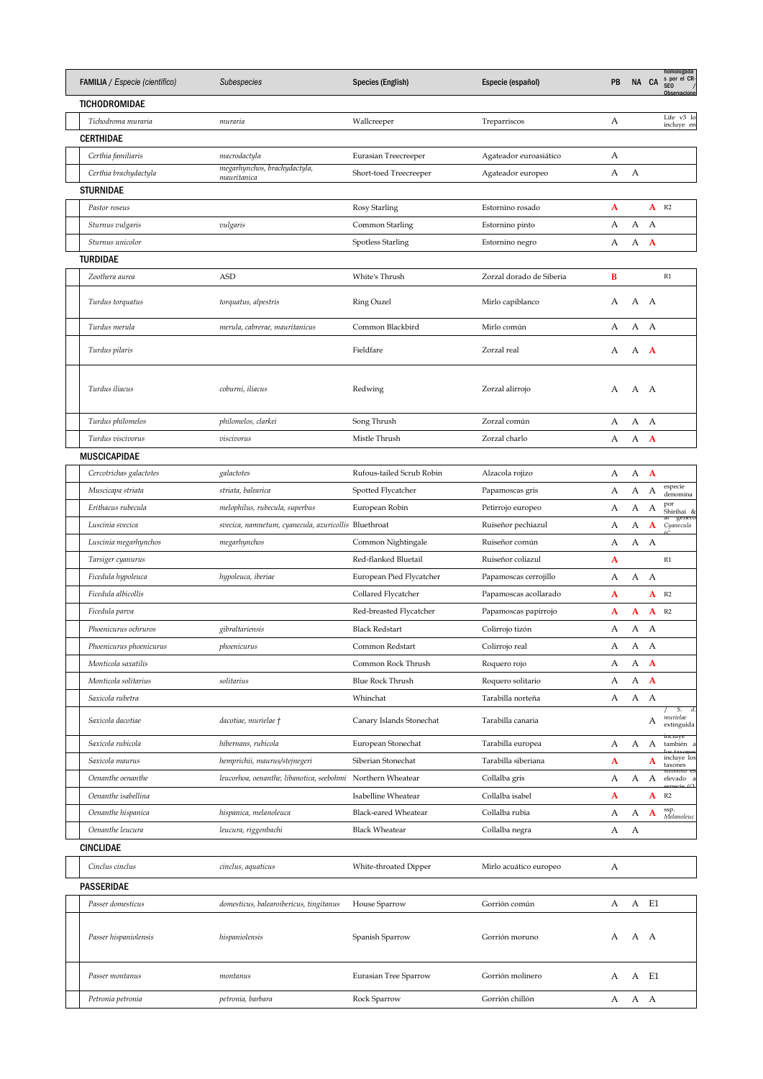| <b>FAMILIA</b> / Especie (científico) | Subespecies                                                 | Species (English)         | Especie (español)        | PB |     | NA CA              | homologada<br>s por el CR-<br>SE <sub>0</sub><br>Ohservacione |
|---------------------------------------|-------------------------------------------------------------|---------------------------|--------------------------|----|-----|--------------------|---------------------------------------------------------------|
| TICHODROMIDAE                         |                                                             |                           |                          |    |     |                    |                                                               |
| Tichodroma muraria                    | muraria                                                     | Wallcreeper               | Treparriscos             | А  |     |                    | Life v3 lo<br>incluye en                                      |
| <b>CERTHIDAE</b>                      |                                                             |                           |                          |    |     |                    |                                                               |
| Certhia familiaris                    | macrodactyla                                                | Eurasian Treecreeper      | Agateador euroasiático   | А  |     |                    |                                                               |
| Certhia brachydactyla                 | megarhynchos, brachydactyla,<br>mauritanica                 | Short-toed Treecreeper    | Agateador europeo        | А  | А   |                    |                                                               |
| <b>STURNIDAE</b>                      |                                                             |                           |                          |    |     |                    |                                                               |
| Pastor roseus                         |                                                             | Rosy Starling             | Estornino rosado         | A  |     | $A$ R <sub>2</sub> |                                                               |
| Sturnus vulgaris                      | vulgaris                                                    | Common Starling           | Estornino pinto          | А  | А   | А                  |                                                               |
| Sturnus unicolor                      |                                                             | Spotless Starling         | Estornino negro          | А  | А   | A                  |                                                               |
| <b>TURDIDAE</b>                       |                                                             |                           |                          |    |     |                    |                                                               |
| Zoothera aurea                        | <b>ASD</b>                                                  | White's Thrush            | Zorzal dorado de Siberia | B  |     |                    | R1                                                            |
|                                       |                                                             |                           |                          |    |     |                    |                                                               |
| Turdus torquatus                      | torquatus, alpestris                                        | Ring Ouzel                | Mirlo capiblanco         | А  | A A |                    |                                                               |
| Turdus merula                         | merula, cabrerae, mauritanicus                              | Common Blackbird          | Mirlo común              | А  | А   | A                  |                                                               |
|                                       |                                                             |                           |                          |    |     |                    |                                                               |
| Turdus pilaris                        |                                                             | Fieldfare                 | Zorzal real              | А  | А   | A                  |                                                               |
|                                       |                                                             |                           |                          |    |     |                    |                                                               |
| Turdus iliacus                        | coburni, iliacus                                            | Redwing                   | Zorzal alirrojo          | А  | А   | A                  |                                                               |
|                                       |                                                             |                           |                          |    |     |                    |                                                               |
| Turdus philomelos                     | philomelos, clarkei                                         | Song Thrush               | Zorzal común             | А  | А   | A                  |                                                               |
| Turdus viscivorus                     | viscivorus                                                  | Mistle Thrush             | Zorzal charlo            | А  | А   | $\mathbf{A}$       |                                                               |
| <b>MUSCICAPIDAE</b>                   |                                                             |                           |                          |    |     |                    |                                                               |
| Cercotrichas galactotes               | galactotes                                                  | Rufous-tailed Scrub Robin | Alzacola rojizo          | А  | А   | $\mathbf{A}$       |                                                               |
| Muscicapa striata                     | striata, balearica                                          | Spotted Flycatcher        | Papamoscas gris          | А  | А   | А                  | especie<br>denomina                                           |
| Erithacus rubecula                    | melophilus, rubecula, superbus                              | European Robin            | Petirrojo europeo        | А  | А   | А                  | por<br>Shirihai &                                             |
| Luscinia svecica                      | svecica, namnetum, cyanecula, azuricollis Bluethroat        |                           | Ruiseñor pechiazul       | А  | А   | $\mathbf{A}$       | ar generc<br>Cyanecula                                        |
| Luscinia megarhynchos                 | megarhynchos                                                | Common Nightingale        | Ruiseñor común           | А  | А   | А                  |                                                               |
| Tarsiger cyanurus                     |                                                             | Red-flanked Bluetail      | Ruiseñor coliazul        | A  |     |                    | R1                                                            |
| Ficedula hypoleuca                    | hypoleuca, iberiae                                          | European Pied Flycatcher  | Papamoscas cerrojillo    | А  | А   | А                  |                                                               |
| Ficedula albicollis                   |                                                             | Collared Flycatcher       | Papamoscas acollarado    | A  |     | $\mathbf{A}$       | R2                                                            |
| Ficedula parva                        |                                                             | Red-breasted Flycatcher   | Papamoscas papirrojo     | A  | A   | $\mathbf{A}$       | R <sub>2</sub>                                                |
| Phoenicurus ochruros                  | gibraltariensis                                             | <b>Black Redstart</b>     | Colirrojo tizón          | А  | А   | А                  |                                                               |
|                                       |                                                             |                           |                          |    |     |                    |                                                               |
| Phoenicurus phoenicurus               | phoenicurus                                                 | Common Redstart           | Colirrojo real           | A  | А   | А                  |                                                               |
| Monticola saxatilis                   |                                                             | Common Rock Thrush        | Roquero rojo             | А  | А   | $\mathbf{A}$       |                                                               |
| Monticola solitarius                  | solitarius                                                  | <b>Blue Rock Thrush</b>   | Roquero solitario        | А  | А   | $\mathbf{A}$       |                                                               |
| Saxicola rubetra                      |                                                             | Whinchat                  | Tarabilla norteña        | А  | A   | А                  | S.<br>d.                                                      |
| Saxicola dacotiae                     | dacotiae, murielae †                                        | Canary Islands Stonechat  | Tarabilla canaria        |    |     | А                  | murielae<br>extinguida                                        |
| Saxicola rubicola                     | hibernans, rubicola                                         | European Stonechat        | Tarabilla europea        | А  | А   | А                  | incluye<br>también                                            |
| Saxicola maurus                       | hemprichii, maurus/stejnegeri                               | Siberian Stonechat        | Tarabilla siberiana      | A  |     | A                  | los taxopos<br>incluye los<br>taxones                         |
| Oenanthe oenanthe                     | leucorhoa, oenanthe, libanotica, seebohmi Northern Wheatear |                           | Collalba gris            | А  | А   | A                  | seevonmi es<br>elevado a                                      |
| Oenanthe isabellina                   |                                                             | Isabelline Wheatear       | Collalba isabel          | A  |     | $\mathbf{A}$       | $rncio$ (O<br>R2                                              |
| Oenanthe hispanica                    | hispanica, melanoleuca                                      | Black-eared Wheatear      | Collalba rubia           | А  | А   | A                  | ssp.<br>Melanoleuc                                            |
| Oenanthe leucura                      | leucura, riggenbachi                                        | <b>Black Wheatear</b>     | Collalba negra           | А  | А   |                    |                                                               |
| <b>CINCLIDAE</b>                      |                                                             |                           |                          |    |     |                    |                                                               |
|                                       |                                                             |                           |                          |    |     |                    |                                                               |
| Cinclus cinclus                       | cinclus, aquaticus                                          | White-throated Dipper     | Mirlo acuático europeo   | А  |     |                    |                                                               |
| PASSERIDAE                            |                                                             |                           |                          |    |     |                    |                                                               |
| Passer domesticus                     | domesticus, balearoibericus, tingitanus                     | House Sparrow             | Gorrión común            | А  | А   | E1                 |                                                               |
| Passer hispaniolensis                 | hispaniolensis                                              | Spanish Sparrow           | Gorrión moruno           | А  | А   | A                  |                                                               |
| Passer montanus                       | montanus                                                    | Eurasian Tree Sparrow     | Gorrión molinero         | А  |     | A E1               |                                                               |
| Petronia petronia                     | petronia, barbara                                           | Rock Sparrow              | Gorrión chillón          | А  | А   | A                  |                                                               |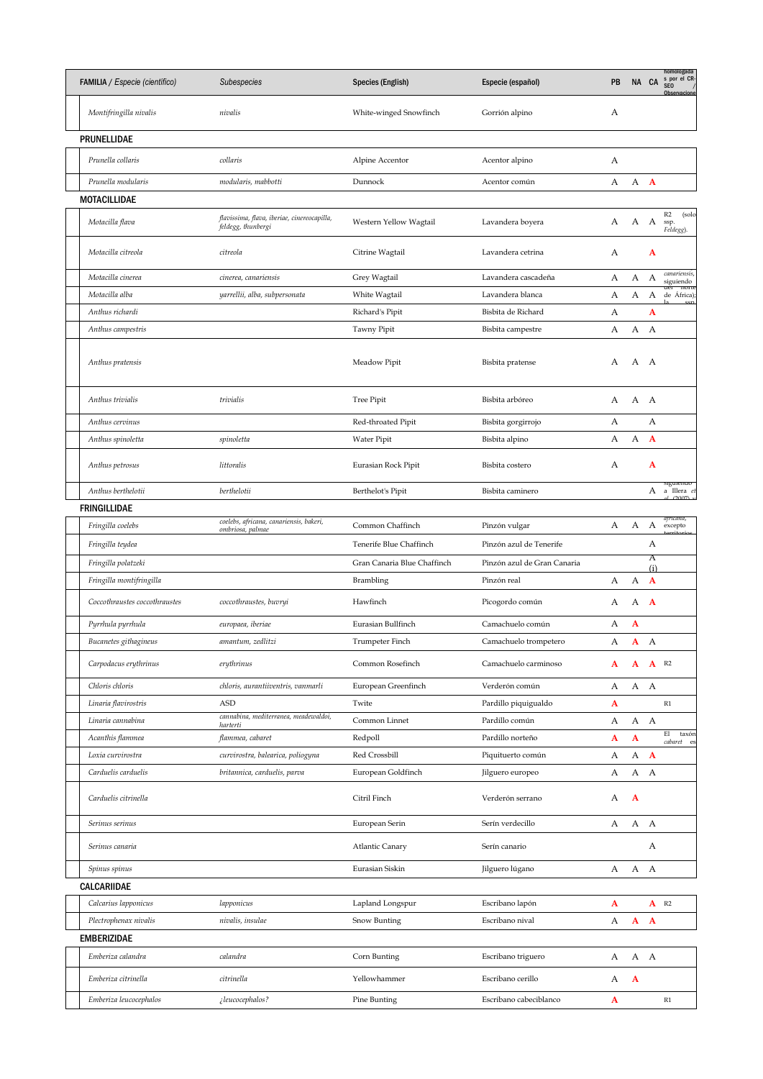| FAMILIA / Especie (científico) | Subespecies                                                       | Species (English)           | Especie (español)           | PB |                           | NA CA               | homologada<br>s por el CR-<br>SEO<br>Observacione |
|--------------------------------|-------------------------------------------------------------------|-----------------------------|-----------------------------|----|---------------------------|---------------------|---------------------------------------------------|
| Montifringilla nivalis         | nivalis                                                           | White-winged Snowfinch      | Gorrión alpino              | А  |                           |                     |                                                   |
| PRUNELLIDAE                    |                                                                   |                             |                             |    |                           |                     |                                                   |
| Prunella collaris              | collaris                                                          | Alpine Accentor             | Acentor alpino              | А  |                           |                     |                                                   |
| Prunella modularis             | modularis, mabbotti                                               | Dunnock                     | Acentor común               | А  | А                         | $\mathbf{A}$        |                                                   |
| MOTACILLIDAE                   |                                                                   |                             |                             |    |                           |                     |                                                   |
| Motacilla flava                | flavissima, flava, iberiae, cinereocapilla,<br>feldegg, thunbergi | Western Yellow Wagtail      | Lavandera boyera            | А  |                           | A A ssp.            | R2<br>(solo<br>Feldegg).                          |
| Motacilla citreola             | citreola                                                          | Citrine Wagtail             | Lavandera cetrina           | А  |                           | A                   |                                                   |
| Motacilla cinerea              | cinerea, canariensis                                              | Grey Wagtail                | Lavandera cascadeña         | А  | А                         | А                   | canariensis,                                      |
| Motacilla alba                 | yarrellii, alba, subpersonata                                     | White Wagtail               | Lavandera blanca            | А  | А                         |                     | siguiendo<br>aer norte<br>A de África);           |
| Anthus richardi                |                                                                   | Richard's Pipit             | Bisbita de Richard          | А  |                           | A                   |                                                   |
| Anthus campestris              |                                                                   | Tawny Pipit                 | Bisbita campestre           | А  | A                         | A                   |                                                   |
| Anthus pratensis               |                                                                   | Meadow Pipit                | Bisbita pratense            | А  | А                         | A                   |                                                   |
| Anthus trivialis               | trivialis                                                         | Tree Pipit                  | Bisbita arbóreo             | А  | A A                       |                     |                                                   |
| Anthus cervinus                |                                                                   | Red-throated Pipit          | Bisbita gorgirrojo          | А  |                           | А                   |                                                   |
| Anthus spinoletta              | spinoletta                                                        | Water Pipit                 | Bisbita alpino              | А  | А                         | $\mathbf{A}$        |                                                   |
| Anthus petrosus                | littoralis                                                        | Eurasian Rock Pipit         | Bisbita costero             | А  |                           | A                   |                                                   |
| Anthus berthelotii             | berthelotii                                                       | Berthelot's Pipit           | Bisbita caminero            |    |                           |                     | siguienao<br>A a Illera et                        |
| FRINGILLIDAE                   |                                                                   |                             |                             |    |                           |                     | $1.0007 \times$                                   |
| Fringilla coelebs              | coelebs, africana, canariensis, bakeri,<br>ombriosa, palmae       | Common Chaffinch            | Pinzón vulgar               | А  | А                         |                     | africana,<br>A excepto                            |
| Fringilla teydea               |                                                                   | Tenerife Blue Chaffinch     | Pinzón azul de Tenerife     |    |                           | А                   |                                                   |
| Fringilla polatzeki            |                                                                   | Gran Canaria Blue Chaffinch | Pinzón azul de Gran Canaria |    |                           | Α                   |                                                   |
| Fringilla montifringilla       |                                                                   | Brambling                   | Pinzón real                 | А  | A                         | (i)<br>$\mathbf{A}$ |                                                   |
| Coccothraustes coccothraustes  | coccothraustes, buvryi                                            | Hawfinch                    | Picogordo común             | А  | А                         | $\mathbf{A}$        |                                                   |
| Pyrrhula pyrrhula              | europaea, iberiae                                                 | Eurasian Bullfinch          | Camachuelo común            | А  | A                         |                     |                                                   |
| Bucanetes githagineus          | amantum, zedlitzi                                                 | Trumpeter Finch             | Camachuelo trompetero       | А  | A                         | A                   |                                                   |
| Carpodacus erythrinus          | erythrinus                                                        | Common Rosefinch            | Camachuelo carminoso        | A  | A                         | $A$ R <sub>2</sub>  |                                                   |
| Chloris chloris                | chloris, aurantiiventris, vanmarli                                | European Greenfinch         | Verderón común              | А  | A A                       |                     |                                                   |
| Linaria flavirostris           | <b>ASD</b>                                                        | Twite                       | Pardillo piquigualdo        | A  |                           |                     | R1                                                |
| Linaria cannabina              | cannabina, mediterranea, meadewaldoi,<br>harterti                 | Common Linnet               | Pardillo común              | А  |                           | A A                 |                                                   |
| Acanthis flammea               | flammea, cabaret                                                  | Redpoll                     | Pardillo norteño            | A  | $\boldsymbol{\mathsf{A}}$ |                     | E1<br>taxón<br>cabaret es                         |
| Loxia curvirostra              | curvirostra, balearica, poliogyna                                 | Red Crossbill               | Piquituerto común           | А  | А                         | $\mathbf{A}$        |                                                   |
| Carduelis carduelis            | britannica, carduelis, parva                                      | European Goldfinch          | Jilguero europeo            | А  | А                         | A                   |                                                   |
| Carduelis citrinella           |                                                                   | Citril Finch                | Verderón serrano            | А  | A                         |                     |                                                   |
| Serinus serinus                |                                                                   | European Serin              | Serín verdecillo            | А  | A A                       |                     |                                                   |
| Serinus canaria                |                                                                   | <b>Atlantic Canary</b>      | Serín canario               |    |                           | А                   |                                                   |
| Spinus spinus                  |                                                                   | Eurasian Siskin             | Jilguero lúgano             | А  | А                         | A                   |                                                   |
| CALCARIIDAE                    |                                                                   |                             |                             |    |                           |                     |                                                   |
| Calcarius lapponicus           | lapponicus                                                        | Lapland Longspur            | Escribano lapón             | A  |                           |                     | $A$ R <sub>2</sub>                                |
| Plectrophenax nivalis          | nivalis, insulae                                                  | Snow Bunting                | Escribano nival             | А  | A                         | $\mathbf{A}$        |                                                   |
| <b>EMBERIZIDAE</b>             |                                                                   |                             |                             |    |                           |                     |                                                   |
| Emberiza calandra              | calandra                                                          | Corn Bunting                | Escribano triguero          | А  |                           | A A                 |                                                   |
| Emberiza citrinella            | citrinella                                                        | Yellowhammer                | Escribano cerillo           | А  | $\mathbf{A}$              |                     |                                                   |
| Emberiza leucocephalos         | ¿leucocephalos?                                                   | Pine Bunting                | Escribano cabeciblanco      | A  |                           |                     | $\mathbb{R}1$                                     |